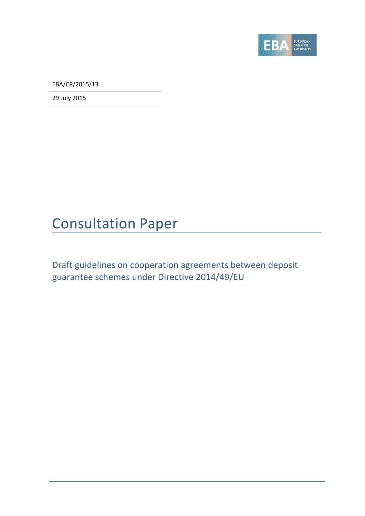

EBA/CP/2015/13

29 July 2015

# Consultation Paper

Draft guidelines on cooperation agreements between deposit guarantee schemes under Directive 2014/49/EU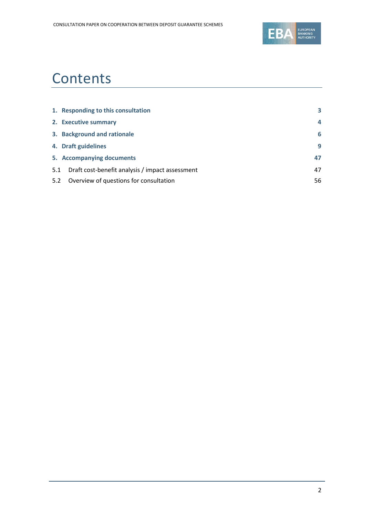

# **Contents**

|     | 1. Responding to this consultation              | 3  |
|-----|-------------------------------------------------|----|
|     | 2. Executive summary                            | 4  |
|     | 3. Background and rationale                     | 6  |
|     | 4. Draft guidelines                             | 9  |
|     | 5. Accompanying documents                       | 47 |
| 5.1 | Draft cost-benefit analysis / impact assessment | 47 |
| 5.2 | Overview of questions for consultation          | 56 |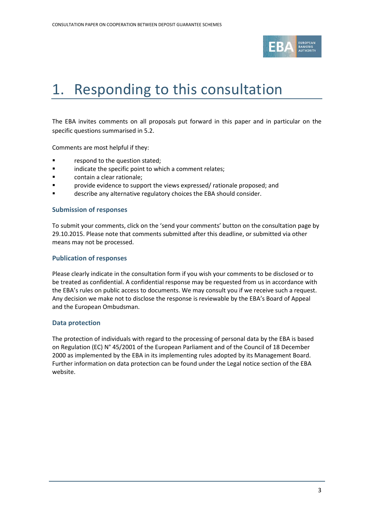

# <span id="page-2-0"></span>1. Responding to this consultation

The EBA invites comments on all proposals put forward in this paper and in particular on the specific questions summarised in 5.2.

Comments are most helpful if they:

- respond to the question stated;
- **Example 3** indicate the specific point to which a comment relates;
- contain a clear rationale;
- **F** provide evidence to support the views expressed/ rationale proposed; and
- **Example 3** describe any alternative regulatory choices the EBA should consider.

#### **Submission of responses**

To submit your comments, click on the 'send your comments' button on the consultation page by 29.10.2015. Please note that comments submitted after this deadline, or submitted via other means may not be processed.

#### **Publication of responses**

Please clearly indicate in the consultation form if you wish your comments to be disclosed or to be treated as confidential. A confidential response may be requested from us in accordance with the EBA's rules on public access to documents. We may consult you if we receive such a request. Any decision we make not to disclose the response is reviewable by the EBA's Board of Appeal and the European Ombudsman.

#### **Data protection**

The protection of individuals with regard to the processing of personal data by the EBA is based on Regulation (EC) N° 45/2001 of the European Parliament and of the Council of 18 December 2000 as implemented by the EBA in its implementing rules adopted by its Management Board. Further information on data protection can be found under the [Legal notice section](http://eba.europa.eu/legal-notice) of the EBA website.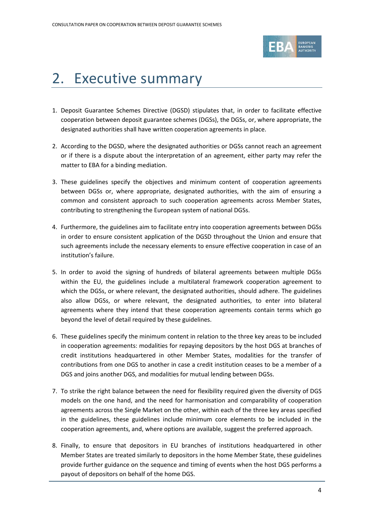

# <span id="page-3-0"></span>2. Executive summary

- 1. Deposit Guarantee Schemes Directive (DGSD) stipulates that, in order to facilitate effective cooperation between deposit guarantee schemes (DGSs), the DGSs, or, where appropriate, the designated authorities shall have written cooperation agreements in place.
- 2. According to the DGSD, where the designated authorities or DGSs cannot reach an agreement or if there is a dispute about the interpretation of an agreement, either party may refer the matter to EBA for a binding mediation.
- 3. These guidelines specify the objectives and minimum content of cooperation agreements between DGSs or, where appropriate, designated authorities, with the aim of ensuring a common and consistent approach to such cooperation agreements across Member States, contributing to strengthening the European system of national DGSs.
- 4. Furthermore, the guidelines aim to facilitate entry into cooperation agreements between DGSs in order to ensure consistent application of the DGSD throughout the Union and ensure that such agreements include the necessary elements to ensure effective cooperation in case of an institution's failure.
- 5. In order to avoid the signing of hundreds of bilateral agreements between multiple DGSs within the EU, the guidelines include a multilateral framework cooperation agreement to which the DGSs, or where relevant, the designated authorities, should adhere. The guidelines also allow DGSs, or where relevant, the designated authorities, to enter into bilateral agreements where they intend that these cooperation agreements contain terms which go beyond the level of detail required by these guidelines.
- 6. These guidelines specify the minimum content in relation to the three key areas to be included in cooperation agreements: modalities for repaying depositors by the host DGS at branches of credit institutions headquartered in other Member States, modalities for the transfer of contributions from one DGS to another in case a credit institution ceases to be a member of a DGS and joins another DGS, and modalities for mutual lending between DGSs.
- 7. To strike the right balance between the need for flexibility required given the diversity of DGS models on the one hand, and the need for harmonisation and comparability of cooperation agreements across the Single Market on the other, within each of the three key areas specified in the guidelines, these guidelines include minimum core elements to be included in the cooperation agreements, and, where options are available, suggest the preferred approach.
- 8. Finally, to ensure that depositors in EU branches of institutions headquartered in other Member States are treated similarly to depositors in the home Member State, these guidelines provide further guidance on the sequence and timing of events when the host DGS performs a payout of depositors on behalf of the home DGS.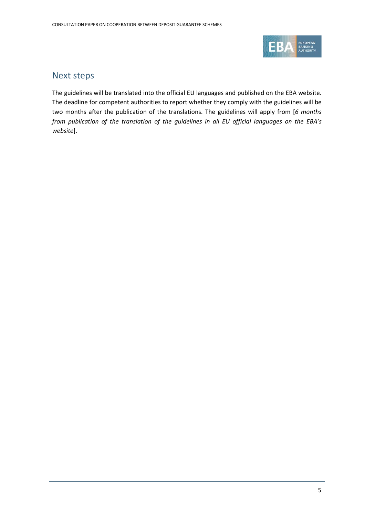

## Next steps

The guidelines will be translated into the official EU languages and published on the EBA website. The deadline for competent authorities to report whether they comply with the guidelines will be two months after the publication of the translations. The guidelines will apply from [*6 months from publication of the translation of the guidelines in all EU official languages on the EBA's website*].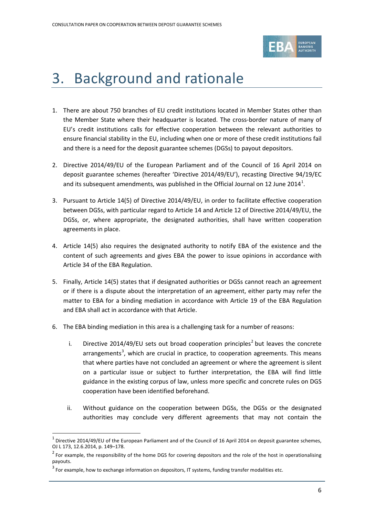

# <span id="page-5-0"></span>3. Background and rationale

- 1. There are about 750 branches of EU credit institutions located in Member States other than the Member State where their headquarter is located. The cross-border nature of many of EU's credit institutions calls for effective cooperation between the relevant authorities to ensure financial stability in the EU, including when one or more of these credit institutions fail and there is a need for the deposit guarantee schemes (DGSs) to payout depositors.
- 2. Directive 2014/49/EU of the European Parliament and of the Council of 16 April 2014 on deposit guarantee schemes (hereafter 'Directive 2014/49/EU'), recasting Directive 94/19/EC and its subsequent amendments, was published in the Official Journal on [1](#page-5-1)2 June 2014<sup>1</sup>.
- 3. Pursuant to Article 14(5) of Directive 2014/49/EU, in order to facilitate effective cooperation between DGSs, with particular regard to Article 14 and Article 12 of Directive 2014/49/EU, the DGSs, or, where appropriate, the designated authorities, shall have written cooperation agreements in place.
- 4. Article 14(5) also requires the designated authority to notify EBA of the existence and the content of such agreements and gives EBA the power to issue opinions in accordance with Article 34 of the EBA Regulation.
- 5. Finally, Article 14(5) states that if designated authorities or DGSs cannot reach an agreement or if there is a dispute about the interpretation of an agreement, either party may refer the matter to EBA for a binding mediation in accordance with Article 19 of the EBA Regulation and EBA shall act in accordance with that Article.
- 6. The EBA binding mediation in this area is a challenging task for a number of reasons:
	- i. Directive [2](#page-5-2)014/49/EU sets out broad cooperation principles<sup>2</sup> but leaves the concrete arrangements<sup>[3](#page-5-3)</sup>, which are crucial in practice, to cooperation agreements. This means that where parties have not concluded an agreement or where the agreement is silent on a particular issue or subject to further interpretation, the EBA will find little guidance in the existing corpus of law, unless more specific and concrete rules on DGS cooperation have been identified beforehand.
	- ii. Without guidance on the cooperation between DGSs, the DGSs or the designated authorities may conclude very different agreements that may not contain the

 $\overline{a}$ 

<span id="page-5-1"></span>Directive 2014/49/EU of the European Parliament and of the Council of 16 April 2014 on deposit guarantee schemes, OJ L 173, 12.6.2014, p. 149–178.

<span id="page-5-2"></span> $2$  For example, the responsibility of the home DGS for covering depositors and the role of the host in operationalising payouts.

<span id="page-5-3"></span> $3$  For example, how to exchange information on depositors, IT systems, funding transfer modalities etc.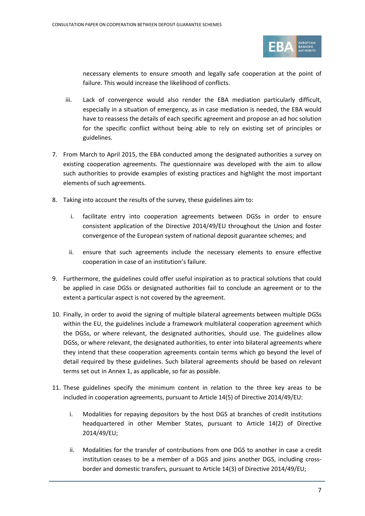

necessary elements to ensure smooth and legally safe cooperation at the point of failure. This would increase the likelihood of conflicts.

- iii. Lack of convergence would also render the EBA mediation particularly difficult, especially in a situation of emergency, as in case mediation is needed, the EBA would have to reassess the details of each specific agreement and propose an ad hoc solution for the specific conflict without being able to rely on existing set of principles or guidelines.
- 7. From March to April 2015, the EBA conducted among the designated authorities a survey on existing cooperation agreements. The questionnaire was developed with the aim to allow such authorities to provide examples of existing practices and highlight the most important elements of such agreements.
- 8. Taking into account the results of the survey, these guidelines aim to:
	- i. facilitate entry into cooperation agreements between DGSs in order to ensure consistent application of the Directive 2014/49/EU throughout the Union and foster convergence of the European system of national deposit guarantee schemes; and
	- ii. ensure that such agreements include the necessary elements to ensure effective cooperation in case of an institution's failure.
- 9. Furthermore, the guidelines could offer useful inspiration as to practical solutions that could be applied in case DGSs or designated authorities fail to conclude an agreement or to the extent a particular aspect is not covered by the agreement.
- 10. Finally, in order to avoid the signing of multiple bilateral agreements between multiple DGSs within the EU, the guidelines include a framework multilateral cooperation agreement which the DGSs, or where relevant, the designated authorities, should use. The guidelines allow DGSs, or where relevant, the designated authorities, to enter into bilateral agreements where they intend that these cooperation agreements contain terms which go beyond the level of detail required by these guidelines. Such bilateral agreements should be based on relevant terms set out in Annex 1, as applicable, so far as possible.
- 11. These guidelines specify the minimum content in relation to the three key areas to be included in cooperation agreements, pursuant to Article 14(5) of Directive 2014/49/EU:
	- i. Modalities for repaying depositors by the host DGS at branches of credit institutions headquartered in other Member States, pursuant to Article 14(2) of Directive 2014/49/EU;
	- ii. Modalities for the transfer of contributions from one DGS to another in case a credit institution ceases to be a member of a DGS and joins another DGS, including crossborder and domestic transfers, pursuant to Article 14(3) of Directive 2014/49/EU;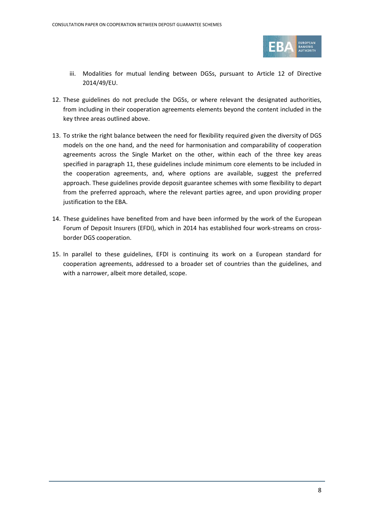

- iii. Modalities for mutual lending between DGSs, pursuant to Article 12 of Directive 2014/49/EU.
- 12. These guidelines do not preclude the DGSs, or where relevant the designated authorities, from including in their cooperation agreements elements beyond the content included in the key three areas outlined above.
- 13. To strike the right balance between the need for flexibility required given the diversity of DGS models on the one hand, and the need for harmonisation and comparability of cooperation agreements across the Single Market on the other, within each of the three key areas specified in paragraph 11, these guidelines include minimum core elements to be included in the cooperation agreements, and, where options are available, suggest the preferred approach. These guidelines provide deposit guarantee schemes with some flexibility to depart from the preferred approach, where the relevant parties agree, and upon providing proper justification to the EBA.
- 14. These guidelines have benefited from and have been informed by the work of the European Forum of Deposit Insurers (EFDI), which in 2014 has established four work-streams on crossborder DGS cooperation.
- 15. In parallel to these guidelines, EFDI is continuing its work on a European standard for cooperation agreements, addressed to a broader set of countries than the guidelines, and with a narrower, albeit more detailed, scope.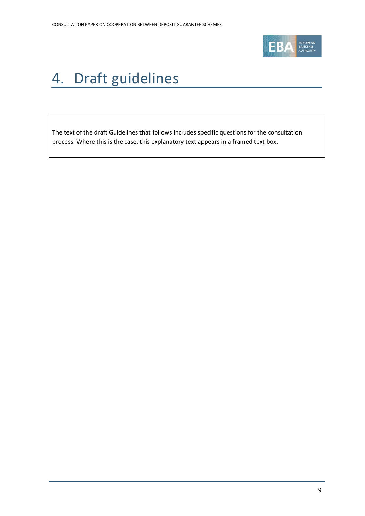

# <span id="page-8-0"></span>4. Draft guidelines

The text of the draft Guidelines that follows includes specific questions for the consultation process. Where this is the case, this explanatory text appears in a framed text box.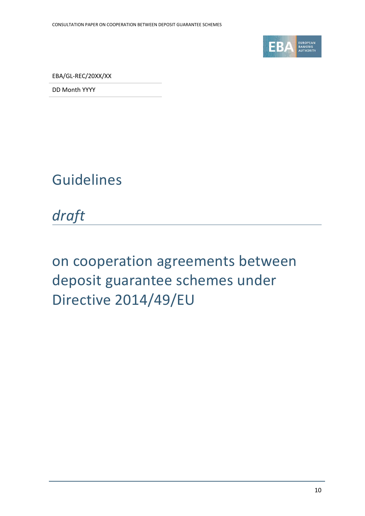

EBA/GL-REC/20XX/XX

DD Month YYYY

# Guidelines

*draft*

# on cooperation agreements between deposit guarantee schemes under Directive 2014/49/EU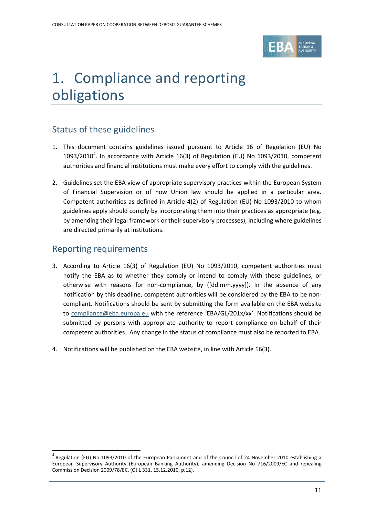

# 1. Compliance and reporting obligations

# Status of these guidelines

- 1. This document contains guidelines issued pursuant to Article 16 of Regulation (EU) No 1093/2010<sup>[4](#page-10-0)</sup>. In accordance with Article 16(3) of Regulation (EU) No 1093/2010, competent authorities and financial institutions must make every effort to comply with the guidelines.
- 2. Guidelines set the EBA view of appropriate supervisory practices within the European System of Financial Supervision or of how Union law should be applied in a particular area. Competent authorities as defined in Article 4(2) of Regulation (EU) No 1093/2010 to whom guidelines apply should comply by incorporating them into their practices as appropriate (e.g. by amending their legal framework or their supervisory processes), including where guidelines are directed primarily at institutions.

## Reporting requirements

 $\overline{a}$ 

- 3. According to Article 16(3) of Regulation (EU) No 1093/2010, competent authorities must notify the EBA as to whether they comply or intend to comply with these guidelines, or otherwise with reasons for non-compliance, by ([dd.mm.yyyy]). In the absence of any notification by this deadline, competent authorities will be considered by the EBA to be noncompliant. Notifications should be sent by submitting the form available on the EBA website to [compliance@eba.europa.eu](mailto:compliance@eba.europa.eu) with the reference 'EBA/GL/201x/xx'. Notifications should be submitted by persons with appropriate authority to report compliance on behalf of their competent authorities. Any change in the status of compliance must also be reported to EBA.
- 4. Notifications will be published on the EBA website, in line with Article 16(3).

<span id="page-10-0"></span><sup>4</sup> Regulation (EU) No 1093/2010 of the European Parliament and of the Council of 24 November 2010 establishing a European Supervisory Authority (European Banking Authority), amending Decision No 716/2009/EC and repealing Commission Decision 2009/78/EC, (OJ L 331, 15.12.2010, p.12).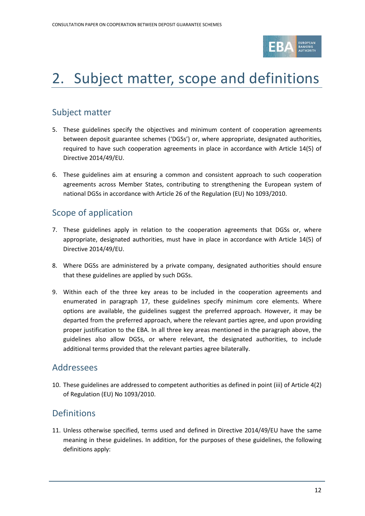

# 2. Subject matter, scope and definitions

# Subject matter

- 5. These guidelines specify the objectives and minimum content of cooperation agreements between deposit guarantee schemes ('DGSs') or, where appropriate, designated authorities, required to have such cooperation agreements in place in accordance with Article 14(5) of Directive 2014/49/EU.
- 6. These guidelines aim at ensuring a common and consistent approach to such cooperation agreements across Member States, contributing to strengthening the European system of national DGSs in accordance with Article 26 of the Regulation (EU) No 1093/2010.

# Scope of application

- 7. These guidelines apply in relation to the cooperation agreements that DGSs or, where appropriate, designated authorities, must have in place in accordance with Article 14(5) of Directive 2014/49/EU.
- 8. Where DGSs are administered by a private company, designated authorities should ensure that these guidelines are applied by such DGSs.
- 9. Within each of the three key areas to be included in the cooperation agreements and enumerated in paragraph 17, these guidelines specify minimum core elements. Where options are available, the guidelines suggest the preferred approach. However, it may be departed from the preferred approach, where the relevant parties agree, and upon providing proper justification to the EBA. In all three key areas mentioned in the paragraph above, the guidelines also allow DGSs, or where relevant, the designated authorities, to include additional terms provided that the relevant parties agree bilaterally.

## Addressees

10. These guidelines are addressed to competent authorities as defined in point (iii) of Article 4(2) of Regulation (EU) No 1093/2010.

## Definitions

11. Unless otherwise specified, terms used and defined in Directive 2014/49/EU have the same meaning in these guidelines. In addition, for the purposes of these guidelines, the following definitions apply: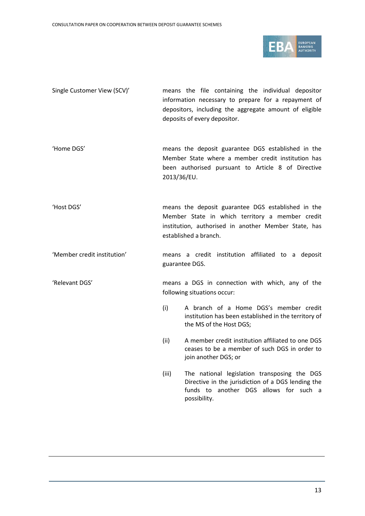

Single Customer View (SCV)' means the file containing the individual depositor information necessary to prepare for a repayment of depositors, including the aggregate amount of eligible deposits of every depositor.

'Home DGS' means the deposit guarantee DGS established in the Member State where a member credit institution has been authorised pursuant to Article 8 of Directive 2013/36/EU.

'Host DGS' means the deposit guarantee DGS established in the Member State in which territory a member credit institution, authorised in another Member State, has established a branch.

'Member credit institution' means a credit institution affiliated to a deposit guarantee DGS.

'Relevant DGS' means a DGS in connection with which, any of the following situations occur:

- (i) A branch of a Home DGS's member credit institution has been established in the territory of the MS of the Host DGS;
- (ii) A member credit institution affiliated to one DGS ceases to be a member of such DGS in order to join another DGS; or
- (iii) The national legislation transposing the DGS Directive in the jurisdiction of a DGS lending the funds to another DGS allows for such a possibility.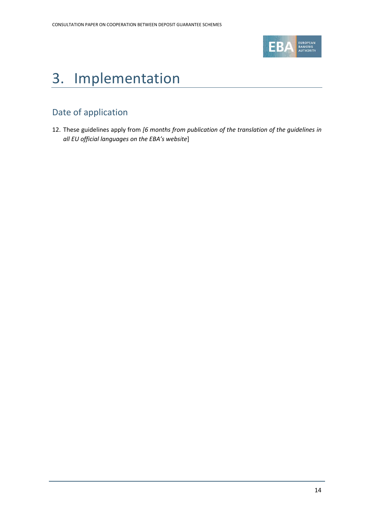

# 3. Implementation

# Date of application

12. These guidelines apply from *[6 months from publication of the translation of the guidelines in all EU official languages on the EBA's website*]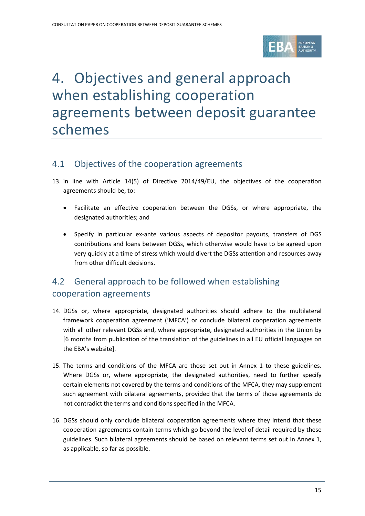

# 4. Objectives and general approach when establishing cooperation agreements between deposit guarantee schemes

## 4.1 Objectives of the cooperation agreements

- 13. in line with Article 14(5) of Directive 2014/49/EU, the objectives of the cooperation agreements should be, to:
	- Facilitate an effective cooperation between the DGSs, or where appropriate, the designated authorities; and
	- Specify in particular ex-ante various aspects of depositor payouts, transfers of DGS contributions and loans between DGSs, which otherwise would have to be agreed upon very quickly at a time of stress which would divert the DGSs attention and resources away from other difficult decisions.

# 4.2 General approach to be followed when establishing cooperation agreements

- 14. DGSs or, where appropriate, designated authorities should adhere to the multilateral framework cooperation agreement ('MFCA') or conclude bilateral cooperation agreements with all other relevant DGSs and, where appropriate, designated authorities in the Union by [6 months from publication of the translation of the guidelines in all EU official languages on the EBA's website].
- 15. The terms and conditions of the MFCA are those set out in Annex 1 to these guidelines. Where DGSs or, where appropriate, the designated authorities, need to further specify certain elements not covered by the terms and conditions of the MFCA, they may supplement such agreement with bilateral agreements, provided that the terms of those agreements do not contradict the terms and conditions specified in the MFCA.
- 16. DGSs should only conclude bilateral cooperation agreements where they intend that these cooperation agreements contain terms which go beyond the level of detail required by these guidelines. Such bilateral agreements should be based on relevant terms set out in Annex 1, as applicable, so far as possible.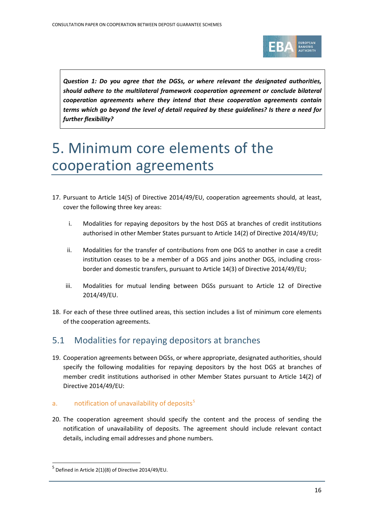

*Question 1: Do you agree that the DGSs, or where relevant the designated authorities, should adhere to the multilateral framework cooperation agreement or conclude bilateral cooperation agreements where they intend that these cooperation agreements contain terms which go beyond the level of detail required by these guidelines? Is there a need for further flexibility?*

# 5. Minimum core elements of the cooperation agreements

- 17. Pursuant to Article 14(5) of Directive 2014/49/EU, cooperation agreements should, at least, cover the following three key areas:
	- i. Modalities for repaying depositors by the host DGS at branches of credit institutions authorised in other Member States pursuant to Article 14(2) of Directive 2014/49/EU;
	- ii. Modalities for the transfer of contributions from one DGS to another in case a credit institution ceases to be a member of a DGS and joins another DGS, including crossborder and domestic transfers, pursuant to Article 14(3) of Directive 2014/49/EU;
	- iii. Modalities for mutual lending between DGSs pursuant to Article 12 of Directive 2014/49/EU.
- 18. For each of these three outlined areas, this section includes a list of minimum core elements of the cooperation agreements.

# 5.1 Modalities for repaying depositors at branches

19. Cooperation agreements between DGSs, or where appropriate, designated authorities, should specify the following modalities for repaying depositors by the host DGS at branches of member credit institutions authorised in other Member States pursuant to Article 14(2) of Directive 2014/49/EU:

## a. notification of unavailability of deposits $5$

20. The cooperation agreement should specify the content and the process of sending the notification of unavailability of deposits. The agreement should include relevant contact details, including email addresses and phone numbers.

 $\overline{a}$ 

<span id="page-15-0"></span> $<sup>5</sup>$  Defined in Article 2(1)(8) of Directive 2014/49/EU.</sup>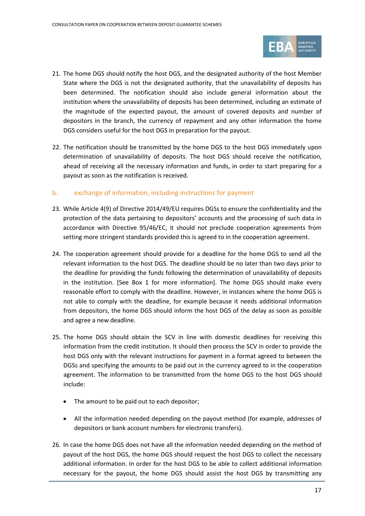

- 21. The home DGS should notify the host DGS, and the designated authority of the host Member State where the DGS is not the designated authority, that the unavailability of deposits has been determined. The notification should also include general information about the institution where the unavailability of deposits has been determined, including an estimate of the magnitude of the expected payout, the amount of covered deposits and number of depositors in the branch, the currency of repayment and any other information the home DGS considers useful for the host DGS in preparation for the payout.
- 22. The notification should be transmitted by the home DGS to the host DGS immediately upon determination of unavailability of deposits. The host DGS should receive the notification, ahead of receiving all the necessary information and funds, in order to start preparing for a payout as soon as the notification is received.

### b. exchange of information, including instructions for payment

- 23. While Article 4(9) of Directive 2014/49/EU requires DGSs to ensure the confidentiality and the protection of the data pertaining to depositors' accounts and the processing of such data in accordance with Directive 95/46/EC, it should not preclude cooperation agreements from setting more stringent standards provided this is agreed to in the cooperation agreement.
- 24. The cooperation agreement should provide for a deadline for the home DGS to send all the relevant information to the host DGS. The deadline should be no later than two days prior to the deadline for providing the funds following the determination of unavailability of deposits in the institution. [See Box 1 for more information]. The home DGS should make every reasonable effort to comply with the deadline. However, in instances where the home DGS is not able to comply with the deadline, for example because it needs additional information from depositors, the home DGS should inform the host DGS of the delay as soon as possible and agree a new deadline.
- 25. The home DGS should obtain the SCV in line with domestic deadlines for receiving this information from the credit institution. It should then process the SCV in order to provide the host DGS only with the relevant instructions for payment in a format agreed to between the DGSs and specifying the amounts to be paid out in the currency agreed to in the cooperation agreement. The information to be transmitted from the home DGS to the host DGS should include:
	- The amount to be paid out to each depositor;
	- All the information needed depending on the payout method (for example, addresses of depositors or bank account numbers for electronic transfers).
- 26. In case the home DGS does not have all the information needed depending on the method of payout of the host DGS, the home DGS should request the host DGS to collect the necessary additional information. In order for the host DGS to be able to collect additional information necessary for the payout, the home DGS should assist the host DGS by transmitting any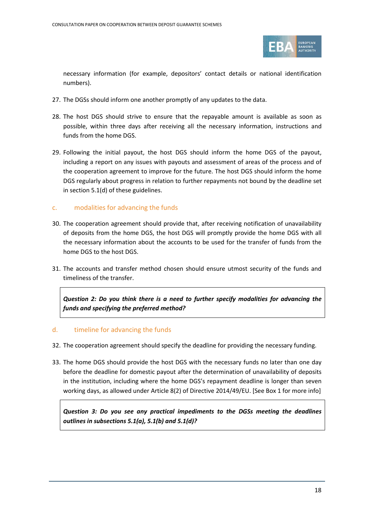

necessary information (for example, depositors' contact details or national identification numbers).

- 27. The DGSs should inform one another promptly of any updates to the data.
- 28. The host DGS should strive to ensure that the repayable amount is available as soon as possible, within three days after receiving all the necessary information, instructions and funds from the home DGS.
- 29. Following the initial payout, the host DGS should inform the home DGS of the payout, including a report on any issues with payouts and assessment of areas of the process and of the cooperation agreement to improve for the future. The host DGS should inform the home DGS regularly about progress in relation to further repayments not bound by the deadline set in section 5.1(d) of these guidelines.

### c. modalities for advancing the funds

- 30. The cooperation agreement should provide that, after receiving notification of unavailability of deposits from the home DGS, the host DGS will promptly provide the home DGS with all the necessary information about the accounts to be used for the transfer of funds from the home DGS to the host DGS.
- 31. The accounts and transfer method chosen should ensure utmost security of the funds and timeliness of the transfer.

*Question 2: Do you think there is a need to further specify modalities for advancing the funds and specifying the preferred method?*

#### d. timeline for advancing the funds

- 32. The cooperation agreement should specify the deadline for providing the necessary funding.
- 33. The home DGS should provide the host DGS with the necessary funds no later than one day before the deadline for domestic payout after the determination of unavailability of deposits in the institution, including where the home DGS's repayment deadline is longer than seven working days, as allowed under Article 8(2) of Directive 2014/49/EU. [See Box 1 for more info]

*Question 3: Do you see any practical impediments to the DGSs meeting the deadlines outlines in subsections 5.1(a), 5.1(b) and 5.1(d)?*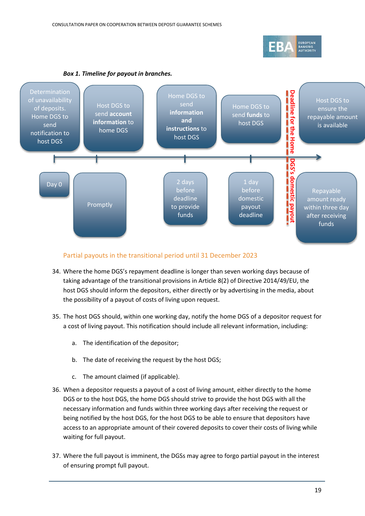



### Partial payouts in the transitional period until 31 December 2023

- 34. Where the home DGS's repayment deadline is longer than seven working days because of taking advantage of the transitional provisions in Article 8(2) of Directive 2014/49/EU, the host DGS should inform the depositors, either directly or by advertising in the media, about the possibility of a payout of costs of living upon request.
- 35. The host DGS should, within one working day, notify the home DGS of a depositor request for a cost of living payout. This notification should include all relevant information, including:
	- a. The identification of the depositor;
	- b. The date of receiving the request by the host DGS;
	- c. The amount claimed (if applicable).
- 36. When a depositor requests a payout of a cost of living amount, either directly to the home DGS or to the host DGS, the home DGS should strive to provide the host DGS with all the necessary information and funds within three working days after receiving the request or being notified by the host DGS, for the host DGS to be able to ensure that depositors have access to an appropriate amount of their covered deposits to cover their costs of living while waiting for full payout.
- 37. Where the full payout is imminent, the DGSs may agree to forgo partial payout in the interest of ensuring prompt full payout.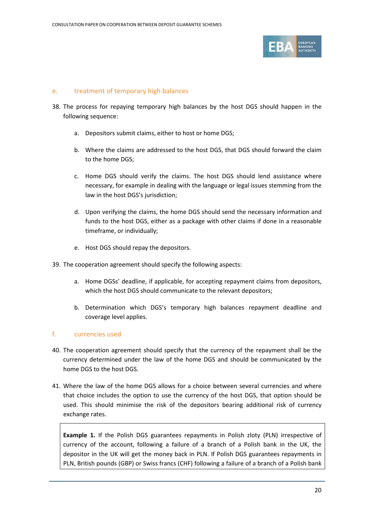

#### e. treatment of temporary high balances

- 38. The process for repaying temporary high balances by the host DGS should happen in the following sequence:
	- a. Depositors submit claims, either to host or home DGS;
	- b. Where the claims are addressed to the host DGS, that DGS should forward the claim to the home DGS;
	- c. Home DGS should verify the claims. The host DGS should lend assistance where necessary, for example in dealing with the language or legal issues stemming from the law in the host DGS's jurisdiction;
	- d. Upon verifying the claims, the home DGS should send the necessary information and funds to the host DGS, either as a package with other claims if done in a reasonable timeframe, or individually;
	- e. Host DGS should repay the depositors.
- 39. The cooperation agreement should specify the following aspects:
	- a. Home DGSs' deadline, if applicable, for accepting repayment claims from depositors, which the host DGS should communicate to the relevant depositors;
	- b. Determination which DGS's temporary high balances repayment deadline and coverage level applies.

#### f. currencies used

- 40. The cooperation agreement should specify that the currency of the repayment shall be the currency determined under the law of the home DGS and should be communicated by the home DGS to the host DGS.
- 41. Where the law of the home DGS allows for a choice between several currencies and where that choice includes the option to use the currency of the host DGS, that option should be used. This should minimise the risk of the depositors bearing additional risk of currency exchange rates.

**Example 1.** If the Polish DGS guarantees repayments in Polish zloty (PLN) irrespective of currency of the account, following a failure of a branch of a Polish bank in the UK, the depositor in the UK will get the money back in PLN. If Polish DGS guarantees repayments in PLN, British pounds (GBP) or Swiss francs (CHF) following a failure of a branch of a Polish bank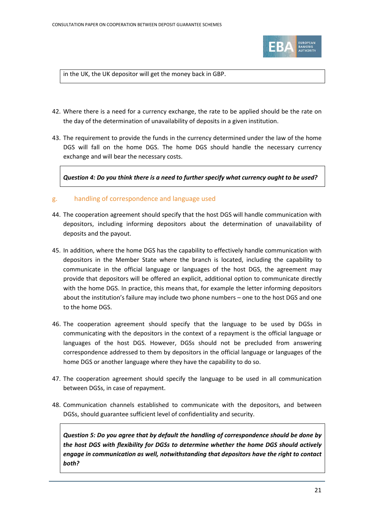

in the UK, the UK depositor will get the money back in GBP.

- 42. Where there is a need for a currency exchange, the rate to be applied should be the rate on the day of the determination of unavailability of deposits in a given institution.
- 43. The requirement to provide the funds in the currency determined under the law of the home DGS will fall on the home DGS. The home DGS should handle the necessary currency exchange and will bear the necessary costs.

*Question 4: Do you think there is a need to further specify what currency ought to be used?*

### g. handling of correspondence and language used

- 44. The cooperation agreement should specify that the host DGS will handle communication with depositors, including informing depositors about the determination of unavailability of deposits and the payout.
- 45. In addition, where the home DGS has the capability to effectively handle communication with depositors in the Member State where the branch is located, including the capability to communicate in the official language or languages of the host DGS, the agreement may provide that depositors will be offered an explicit, additional option to communicate directly with the home DGS. In practice, this means that, for example the letter informing depositors about the institution's failure may include two phone numbers – one to the host DGS and one to the home DGS.
- 46. The cooperation agreement should specify that the language to be used by DGSs in communicating with the depositors in the context of a repayment is the official language or languages of the host DGS. However, DGSs should not be precluded from answering correspondence addressed to them by depositors in the official language or languages of the home DGS or another language where they have the capability to do so.
- 47. The cooperation agreement should specify the language to be used in all communication between DGSs, in case of repayment.
- 48. Communication channels established to communicate with the depositors, and between DGSs, should guarantee sufficient level of confidentiality and security.

*Question 5: Do you agree that by default the handling of correspondence should be done by the host DGS with flexibility for DGSs to determine whether the home DGS should actively engage in communication as well, notwithstanding that depositors have the right to contact both?*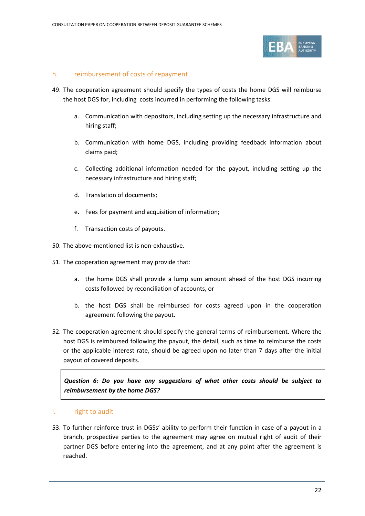

#### h. reimbursement of costs of repayment

- 49. The cooperation agreement should specify the types of costs the home DGS will reimburse the host DGS for, including costs incurred in performing the following tasks:
	- a. Communication with depositors, including setting up the necessary infrastructure and hiring staff;
	- b. Communication with home DGS, including providing feedback information about claims paid;
	- c. Collecting additional information needed for the payout, including setting up the necessary infrastructure and hiring staff;
	- d. Translation of documents;
	- e. Fees for payment and acquisition of information;
	- f. Transaction costs of payouts.
- 50. The above-mentioned list is non-exhaustive.
- 51. The cooperation agreement may provide that:
	- a. the home DGS shall provide a lump sum amount ahead of the host DGS incurring costs followed by reconciliation of accounts, or
	- b. the host DGS shall be reimbursed for costs agreed upon in the cooperation agreement following the payout.
- 52. The cooperation agreement should specify the general terms of reimbursement. Where the host DGS is reimbursed following the payout, the detail, such as time to reimburse the costs or the applicable interest rate, should be agreed upon no later than 7 days after the initial payout of covered deposits.

*Question 6: Do you have any suggestions of what other costs should be subject to reimbursement by the home DGS?*

#### i. right to audit

53. To further reinforce trust in DGSs' ability to perform their function in case of a payout in a branch, prospective parties to the agreement may agree on mutual right of audit of their partner DGS before entering into the agreement, and at any point after the agreement is reached.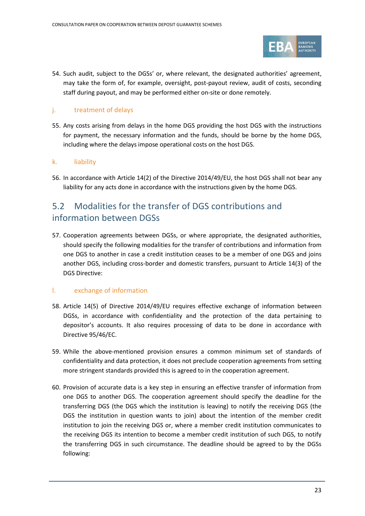

54. Such audit, subject to the DGSs' or, where relevant, the designated authorities' agreement, may take the form of, for example, oversight, post-payout review, audit of costs, seconding staff during payout, and may be performed either on-site or done remotely.

### j. treatment of delays

55. Any costs arising from delays in the home DGS providing the host DGS with the instructions for payment, the necessary information and the funds, should be borne by the home DGS, including where the delays impose operational costs on the host DGS.

#### k. liability

56. In accordance with Article 14(2) of the Directive 2014/49/EU, the host DGS shall not bear any liability for any acts done in accordance with the instructions given by the home DGS.

# 5.2 Modalities for the transfer of DGS contributions and information between DGSs

57. Cooperation agreements between DGSs, or where appropriate, the designated authorities, should specify the following modalities for the transfer of contributions and information from one DGS to another in case a credit institution ceases to be a member of one DGS and joins another DGS, including cross-border and domestic transfers, pursuant to Article 14(3) of the DGS Directive:

#### l. exchange of information

- 58. Article 14(5) of Directive 2014/49/EU requires effective exchange of information between DGSs, in accordance with confidentiality and the protection of the data pertaining to depositor's accounts. It also requires processing of data to be done in accordance with Directive 95/46/EC.
- 59. While the above-mentioned provision ensures a common minimum set of standards of confidentiality and data protection, it does not preclude cooperation agreements from setting more stringent standards provided this is agreed to in the cooperation agreement.
- 60. Provision of accurate data is a key step in ensuring an effective transfer of information from one DGS to another DGS. The cooperation agreement should specify the deadline for the transferring DGS (the DGS which the institution is leaving) to notify the receiving DGS (the DGS the institution in question wants to join) about the intention of the member credit institution to join the receiving DGS or, where a member credit institution communicates to the receiving DGS its intention to become a member credit institution of such DGS, to notify the transferring DGS in such circumstance. The deadline should be agreed to by the DGSs following: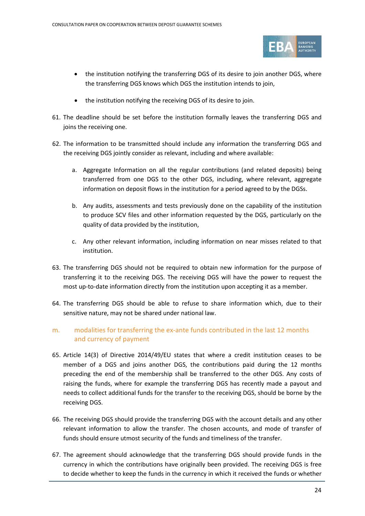

- the institution notifying the transferring DGS of its desire to join another DGS, where the transferring DGS knows which DGS the institution intends to join,
- the institution notifying the receiving DGS of its desire to join.
- 61. The deadline should be set before the institution formally leaves the transferring DGS and joins the receiving one.
- 62. The information to be transmitted should include any information the transferring DGS and the receiving DGS jointly consider as relevant, including and where available:
	- a. Aggregate Information on all the regular contributions (and related deposits) being transferred from one DGS to the other DGS, including, where relevant, aggregate information on deposit flows in the institution for a period agreed to by the DGSs.
	- b. Any audits, assessments and tests previously done on the capability of the institution to produce SCV files and other information requested by the DGS, particularly on the quality of data provided by the institution,
	- c. Any other relevant information, including information on near misses related to that institution.
- 63. The transferring DGS should not be required to obtain new information for the purpose of transferring it to the receiving DGS. The receiving DGS will have the power to request the most up-to-date information directly from the institution upon accepting it as a member.
- 64. The transferring DGS should be able to refuse to share information which, due to their sensitive nature, may not be shared under national law.

## m. modalities for transferring the ex-ante funds contributed in the last 12 months and currency of payment

- 65. Article 14(3) of Directive 2014/49/EU states that where a credit institution ceases to be member of a DGS and joins another DGS, the contributions paid during the 12 months preceding the end of the membership shall be transferred to the other DGS. Any costs of raising the funds, where for example the transferring DGS has recently made a payout and needs to collect additional funds for the transfer to the receiving DGS, should be borne by the receiving DGS.
- 66. The receiving DGS should provide the transferring DGS with the account details and any other relevant information to allow the transfer. The chosen accounts, and mode of transfer of funds should ensure utmost security of the funds and timeliness of the transfer.
- 67. The agreement should acknowledge that the transferring DGS should provide funds in the currency in which the contributions have originally been provided. The receiving DGS is free to decide whether to keep the funds in the currency in which it received the funds or whether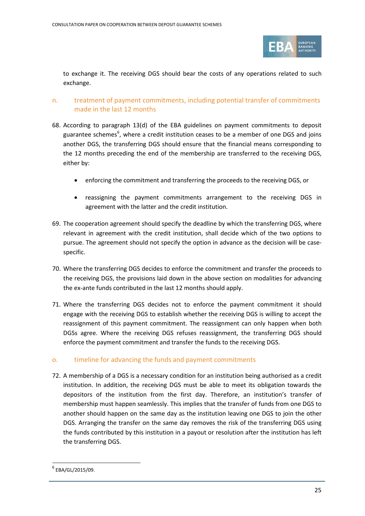

to exchange it. The receiving DGS should bear the costs of any operations related to such exchange.

## n. treatment of payment commitments, including potential transfer of commitments made in the last 12 months

- 68. According to paragraph 13(d) of the EBA guidelines on payment commitments to deposit guarantee schemes<sup>[6](#page-24-0)</sup>, where a credit institution ceases to be a member of one DGS and joins another DGS, the transferring DGS should ensure that the financial means corresponding to the 12 months preceding the end of the membership are transferred to the receiving DGS, either by:
	- enforcing the commitment and transferring the proceeds to the receiving DGS, or
	- reassigning the payment commitments arrangement to the receiving DGS in agreement with the latter and the credit institution.
- 69. The cooperation agreement should specify the deadline by which the transferring DGS, where relevant in agreement with the credit institution, shall decide which of the two options to pursue. The agreement should not specify the option in advance as the decision will be casespecific.
- 70. Where the transferring DGS decides to enforce the commitment and transfer the proceeds to the receiving DGS, the provisions laid down in the above section on modalities for advancing the ex-ante funds contributed in the last 12 months should apply.
- 71. Where the transferring DGS decides not to enforce the payment commitment it should engage with the receiving DGS to establish whether the receiving DGS is willing to accept the reassignment of this payment commitment. The reassignment can only happen when both DGSs agree. Where the receiving DGS refuses reassignment, the transferring DGS should enforce the payment commitment and transfer the funds to the receiving DGS.

#### o. timeline for advancing the funds and payment commitments

72. A membership of a DGS is a necessary condition for an institution being authorised as a credit institution. In addition, the receiving DGS must be able to meet its obligation towards the depositors of the institution from the first day. Therefore, an institution's transfer of membership must happen seamlessly. This implies that the transfer of funds from one DGS to another should happen on the same day as the institution leaving one DGS to join the other DGS. Arranging the transfer on the same day removes the risk of the transferring DGS using the funds contributed by this institution in a payout or resolution after the institution has left the transferring DGS.

 $\overline{a}$ 

<span id="page-24-0"></span> $6$  EBA/GL/2015/09.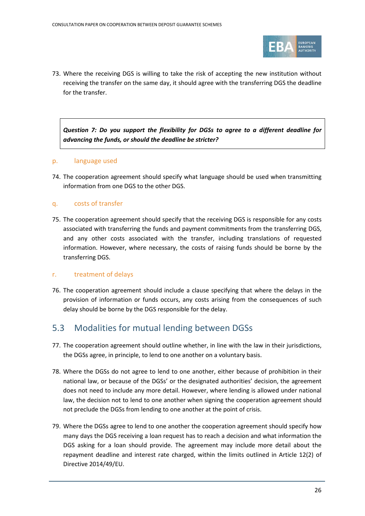

73. Where the receiving DGS is willing to take the risk of accepting the new institution without receiving the transfer on the same day, it should agree with the transferring DGS the deadline for the transfer.

*Question 7: Do you support the flexibility for DGSs to agree to a different deadline for advancing the funds, or should the deadline be stricter?*

#### p. language used

74. The cooperation agreement should specify what language should be used when transmitting information from one DGS to the other DGS.

### q. costs of transfer

75. The cooperation agreement should specify that the receiving DGS is responsible for any costs associated with transferring the funds and payment commitments from the transferring DGS, and any other costs associated with the transfer, including translations of requested information. However, where necessary, the costs of raising funds should be borne by the transferring DGS.

#### r. treatment of delays

76. The cooperation agreement should include a clause specifying that where the delays in the provision of information or funds occurs, any costs arising from the consequences of such delay should be borne by the DGS responsible for the delay.

## 5.3 Modalities for mutual lending between DGSs

- 77. The cooperation agreement should outline whether, in line with the law in their jurisdictions, the DGSs agree, in principle, to lend to one another on a voluntary basis.
- 78. Where the DGSs do not agree to lend to one another, either because of prohibition in their national law, or because of the DGSs' or the designated authorities' decision, the agreement does not need to include any more detail. However, where lending is allowed under national law, the decision not to lend to one another when signing the cooperation agreement should not preclude the DGSs from lending to one another at the point of crisis.
- 79. Where the DGSs agree to lend to one another the cooperation agreement should specify how many days the DGS receiving a loan request has to reach a decision and what information the DGS asking for a loan should provide. The agreement may include more detail about the repayment deadline and interest rate charged, within the limits outlined in Article 12(2) of Directive 2014/49/EU.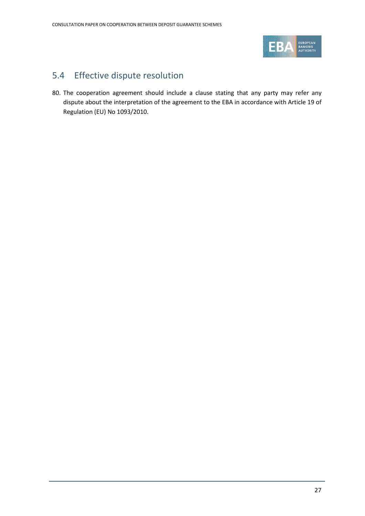

# 5.4 Effective dispute resolution

80. The cooperation agreement should include a clause stating that any party may refer any dispute about the interpretation of the agreement to the EBA in accordance with Article 19 of Regulation (EU) No 1093/2010.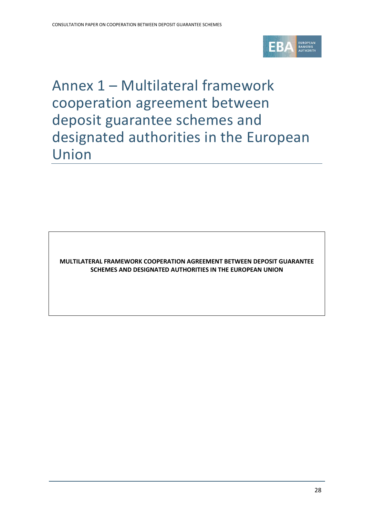

Annex 1 – Multilateral framework cooperation agreement between deposit guarantee schemes and designated authorities in the European Union

**MULTILATERAL FRAMEWORK COOPERATION AGREEMENT BETWEEN DEPOSIT GUARANTEE SCHEMES AND DESIGNATED AUTHORITIES IN THE EUROPEAN UNION**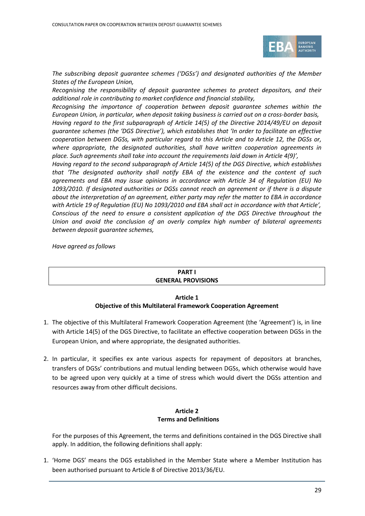

*The subscribing deposit guarantee schemes ('DGSs') and designated authorities of the Member States of the European Union,* 

*Recognising the responsibility of deposit guarantee schemes to protect depositors, and their additional role in contributing to market confidence and financial stability,*

*Recognising the importance of cooperation between deposit guarantee schemes within the European Union, in particular, when deposit taking business is carried out on a cross-border basis,*

*Having regard to the first subparagraph of Article 14(5) of the Directive 2014/49/EU on deposit guarantee schemes (the 'DGS Directive'), which establishes that 'In order to facilitate an effective cooperation between DGSs, with particular regard to this Article and to Article 12, the DGSs or, where appropriate, the designated authorities, shall have written cooperation agreements in place. Such agreements shall take into account the requirements laid down in Article 4(9)',*

*Having regard to the second subparagraph of Article 14(5) of the DGS Directive, which establishes that 'The designated authority shall notify EBA of the existence and the content of such agreements and EBA may issue opinions in accordance with Article 34 of Regulation (EU) No 1093/2010. If designated authorities or DGSs cannot reach an agreement or if there is a dispute about the interpretation of an agreement, either party may refer the matter to EBA in accordance with Article 19 of Regulation (EU) No 1093/2010 and EBA shall act in accordance with that Article', Conscious of the need to ensure a consistent application of the DGS Directive throughout the Union and avoid the conclusion of an overly complex high number of bilateral agreements between deposit guarantee schemes,*

*Have agreed as follows*

#### **PART I GENERAL PROVISIONS**

#### **Article 1 Objective of this Multilateral Framework Cooperation Agreement**

- 1. The objective of this Multilateral Framework Cooperation Agreement (the 'Agreement') is, in line with Article 14(5) of the DGS Directive, to facilitate an effective cooperation between DGSs in the European Union, and where appropriate, the designated authorities.
- 2. In particular, it specifies ex ante various aspects for repayment of depositors at branches, transfers of DGSs' contributions and mutual lending between DGSs, which otherwise would have to be agreed upon very quickly at a time of stress which would divert the DGSs attention and resources away from other difficult decisions.

#### **Article 2 Terms and Definitions**

For the purposes of this Agreement, the terms and definitions contained in the DGS Directive shall apply. In addition, the following definitions shall apply:

1. 'Home DGS' means the DGS established in the Member State where a Member Institution has been authorised pursuant to Article 8 of Directive 2013/36/EU.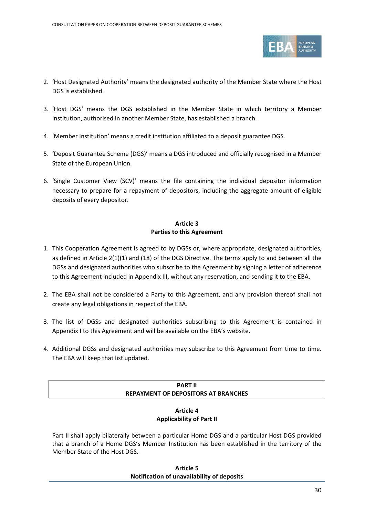

- 2. 'Host Designated Authority' means the designated authority of the Member State where the Host DGS is established.
- 3. 'Host DGS' means the DGS established in the Member State in which territory a Member Institution, authorised in another Member State, has established a branch.
- 4. 'Member Institution' means a credit institution affiliated to a deposit guarantee DGS.
- 5. 'Deposit Guarantee Scheme (DGS)' means a DGS introduced and officially recognised in a Member State of the European Union.
- 6. 'Single Customer View (SCV)' means the file containing the individual depositor information necessary to prepare for a repayment of depositors, including the aggregate amount of eligible deposits of every depositor.

#### **Article 3 Parties to this Agreement**

- 1. This Cooperation Agreement is agreed to by DGSs or, where appropriate, designated authorities, as defined in Article 2(1)(1) and (18) of the DGS Directive. The terms apply to and between all the DGSs and designated authorities who subscribe to the Agreement by signing a letter of adherence to this Agreement included in Appendix III, without any reservation, and sending it to the EBA.
- 2. The EBA shall not be considered a Party to this Agreement, and any provision thereof shall not create any legal obligations in respect of the EBA.
- 3. The list of DGSs and designated authorities subscribing to this Agreement is contained in Appendix I to this Agreement and will be available on the EBA's website.
- 4. Additional DGSs and designated authorities may subscribe to this Agreement from time to time. The EBA will keep that list updated.

#### **PART II REPAYMENT OF DEPOSITORS AT BRANCHES**

#### **Article 4 Applicability of Part II**

Part II shall apply bilaterally between a particular Home DGS and a particular Host DGS provided that a branch of a Home DGS's Member Institution has been established in the territory of the Member State of the Host DGS.

#### **Article 5 Notification of unavailability of deposits**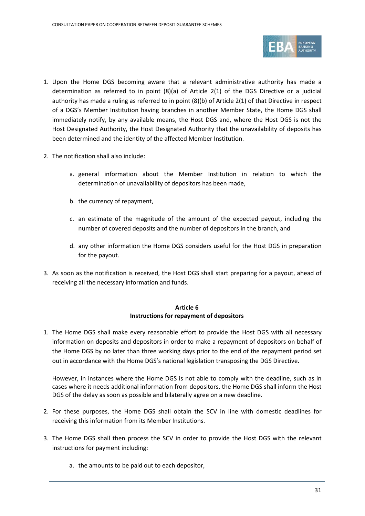

- 1. Upon the Home DGS becoming aware that a relevant administrative authority has made a determination as referred to in point (8)(a) of Article 2(1) of the DGS Directive or a judicial authority has made a ruling as referred to in point (8)(b) of Article 2(1) of that Directive in respect of a DGS's Member Institution having branches in another Member State, the Home DGS shall immediately notify, by any available means, the Host DGS and, where the Host DGS is not the Host Designated Authority, the Host Designated Authority that the unavailability of deposits has been determined and the identity of the affected Member Institution.
- 2. The notification shall also include:
	- a. general information about the Member Institution in relation to which the determination of unavailability of depositors has been made,
	- b. the currency of repayment,
	- c. an estimate of the magnitude of the amount of the expected payout, including the number of covered deposits and the number of depositors in the branch, and
	- d. any other information the Home DGS considers useful for the Host DGS in preparation for the payout.
- 3. As soon as the notification is received, the Host DGS shall start preparing for a payout, ahead of receiving all the necessary information and funds.

#### **Article 6 Instructions for repayment of depositors**

1. The Home DGS shall make every reasonable effort to provide the Host DGS with all necessary information on deposits and depositors in order to make a repayment of depositors on behalf of the Home DGS by no later than three working days prior to the end of the repayment period set out in accordance with the Home DGS's national legislation transposing the DGS Directive.

However, in instances where the Home DGS is not able to comply with the deadline, such as in cases where it needs additional information from depositors, the Home DGS shall inform the Host DGS of the delay as soon as possible and bilaterally agree on a new deadline.

- 2. For these purposes, the Home DGS shall obtain the SCV in line with domestic deadlines for receiving this information from its Member Institutions.
- 3. The Home DGS shall then process the SCV in order to provide the Host DGS with the relevant instructions for payment including:
	- a. the amounts to be paid out to each depositor,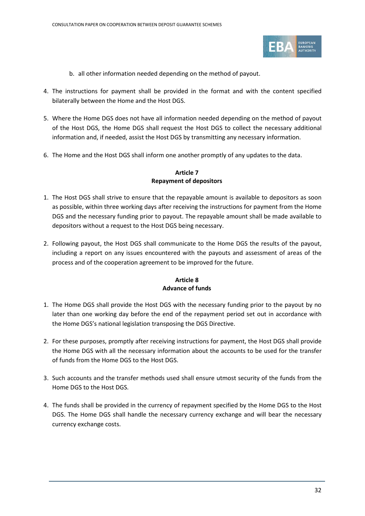

- b. all other information needed depending on the method of payout.
- 4. The instructions for payment shall be provided in the format and with the content specified bilaterally between the Home and the Host DGS.
- 5. Where the Home DGS does not have all information needed depending on the method of payout of the Host DGS, the Home DGS shall request the Host DGS to collect the necessary additional information and, if needed, assist the Host DGS by transmitting any necessary information.
- 6. The Home and the Host DGS shall inform one another promptly of any updates to the data.

#### **Article 7 Repayment of depositors**

- 1. The Host DGS shall strive to ensure that the repayable amount is available to depositors as soon as possible, within three working days after receiving the instructions for payment from the Home DGS and the necessary funding prior to payout. The repayable amount shall be made available to depositors without a request to the Host DGS being necessary.
- 2. Following payout, the Host DGS shall communicate to the Home DGS the results of the payout, including a report on any issues encountered with the payouts and assessment of areas of the process and of the cooperation agreement to be improved for the future.

### **Article 8 Advance of funds**

- 1. The Home DGS shall provide the Host DGS with the necessary funding prior to the payout by no later than one working day before the end of the repayment period set out in accordance with the Home DGS's national legislation transposing the DGS Directive.
- 2. For these purposes, promptly after receiving instructions for payment, the Host DGS shall provide the Home DGS with all the necessary information about the accounts to be used for the transfer of funds from the Home DGS to the Host DGS.
- 3. Such accounts and the transfer methods used shall ensure utmost security of the funds from the Home DGS to the Host DGS.
- 4. The funds shall be provided in the currency of repayment specified by the Home DGS to the Host DGS. The Home DGS shall handle the necessary currency exchange and will bear the necessary currency exchange costs.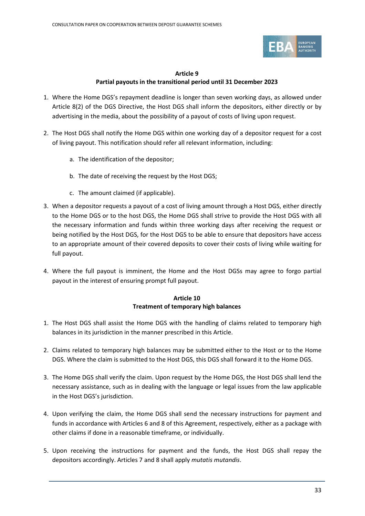

### **Article 9 Partial payouts in the transitional period until 31 December 2023**

- 1. Where the Home DGS's repayment deadline is longer than seven working days, as allowed under Article 8(2) of the DGS Directive, the Host DGS shall inform the depositors, either directly or by advertising in the media, about the possibility of a payout of costs of living upon request.
- 2. The Host DGS shall notify the Home DGS within one working day of a depositor request for a cost of living payout. This notification should refer all relevant information, including:
	- a. The identification of the depositor;
	- b. The date of receiving the request by the Host DGS;
	- c. The amount claimed (if applicable).
- 3. When a depositor requests a payout of a cost of living amount through a Host DGS, either directly to the Home DGS or to the host DGS, the Home DGS shall strive to provide the Host DGS with all the necessary information and funds within three working days after receiving the request or being notified by the Host DGS, for the Host DGS to be able to ensure that depositors have access to an appropriate amount of their covered deposits to cover their costs of living while waiting for full payout.
- 4. Where the full payout is imminent, the Home and the Host DGSs may agree to forgo partial payout in the interest of ensuring prompt full payout.

### **Article 10 Treatment of temporary high balances**

- 1. The Host DGS shall assist the Home DGS with the handling of claims related to temporary high balances in its jurisdiction in the manner prescribed in this Article.
- 2. Claims related to temporary high balances may be submitted either to the Host or to the Home DGS. Where the claim is submitted to the Host DGS, this DGS shall forward it to the Home DGS.
- 3. The Home DGS shall verify the claim. Upon request by the Home DGS, the Host DGS shall lend the necessary assistance, such as in dealing with the language or legal issues from the law applicable in the Host DGS's jurisdiction.
- 4. Upon verifying the claim, the Home DGS shall send the necessary instructions for payment and funds in accordance with Articles 6 and 8 of this Agreement, respectively, either as a package with other claims if done in a reasonable timeframe, or individually.
- 5. Upon receiving the instructions for payment and the funds, the Host DGS shall repay the depositors accordingly. Articles 7 and 8 shall apply *mutatis mutandis*.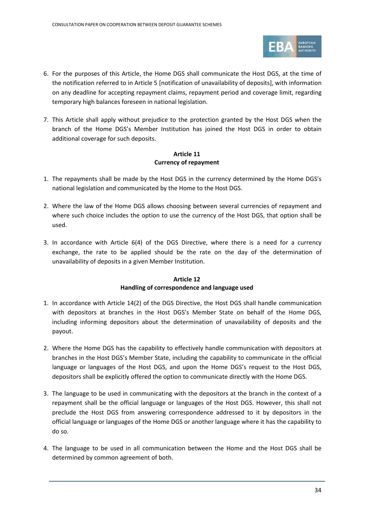

- 6. For the purposes of this Article, the Home DGS shall communicate the Host DGS, at the time of the notification referred to in Article 5 [notification of unavailability of deposits], with information on any deadline for accepting repayment claims, repayment period and coverage limit, regarding temporary high balances foreseen in national legislation.
- 7. This Article shall apply without prejudice to the protection granted by the Host DGS when the branch of the Home DGS's Member Institution has joined the Host DGS in order to obtain additional coverage for such deposits.

#### **Article 11 Currency of repayment**

- 1. The repayments shall be made by the Host DGS in the currency determined by the Home DGS's national legislation and communicated by the Home to the Host DGS.
- 2. Where the law of the Home DGS allows choosing between several currencies of repayment and where such choice includes the option to use the currency of the Host DGS, that option shall be used.
- 3. In accordance with Article 6(4) of the DGS Directive, where there is a need for a currency exchange, the rate to be applied should be the rate on the day of the determination of unavailability of deposits in a given Member Institution.

#### **Article 12 Handling of correspondence and language used**

- 1. In accordance with Article 14(2) of the DGS Directive, the Host DGS shall handle communication with depositors at branches in the Host DGS's Member State on behalf of the Home DGS, including informing depositors about the determination of unavailability of deposits and the payout.
- 2. Where the Home DGS has the capability to effectively handle communication with depositors at branches in the Host DGS's Member State, including the capability to communicate in the official language or languages of the Host DGS, and upon the Home DGS's request to the Host DGS, depositors shall be explicitly offered the option to communicate directly with the Home DGS.
- 3. The language to be used in communicating with the depositors at the branch in the context of a repayment shall be the official language or languages of the Host DGS. However, this shall not preclude the Host DGS from answering correspondence addressed to it by depositors in the official language or languages of the Home DGS or another language where it has the capability to do so.
- 4. The language to be used in all communication between the Home and the Host DGS shall be determined by common agreement of both.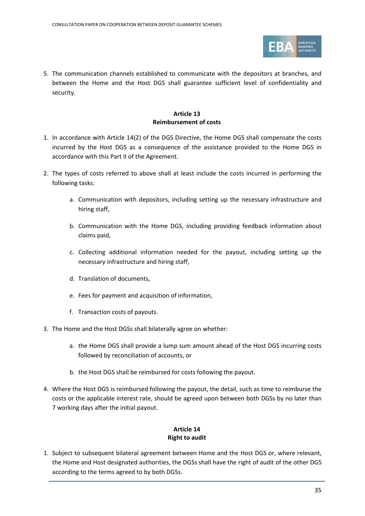

5. The communication channels established to communicate with the depositors at branches, and between the Home and the Host DGS shall guarantee sufficient level of confidentiality and security.

#### **Article 13 Reimbursement of costs**

- 1. In accordance with Article 14(2) of the DGS Directive, the Home DGS shall compensate the costs incurred by the Host DGS as a consequence of the assistance provided to the Home DGS in accordance with this Part II of the Agreement.
- 2. The types of costs referred to above shall at least include the costs incurred in performing the following tasks:
	- a. Communication with depositors, including setting up the necessary infrastructure and hiring staff,
	- b. Communication with the Home DGS, including providing feedback information about claims paid,
	- c. Collecting additional information needed for the payout, including setting up the necessary infrastructure and hiring staff,
	- d. Translation of documents,
	- e. Fees for payment and acquisition of information,
	- f. Transaction costs of payouts.
- 3. The Home and the Host DGSs shall bilaterally agree on whether:
	- a. the Home DGS shall provide a lump sum amount ahead of the Host DGS incurring costs followed by reconciliation of accounts, or
	- b. the Host DGS shall be reimbursed for costs following the payout.
- 4. Where the Host DGS is reimbursed following the payout, the detail, such as time to reimburse the costs or the applicable interest rate, should be agreed upon between both DGSs by no later than 7 working days after the initial payout.

#### **Article 14 Right to audit**

1. Subject to subsequent bilateral agreement between Home and the Host DGS or, where relevant, the Home and Host designated authorities, the DGSs shall have the right of audit of the other DGS according to the terms agreed to by both DGSs.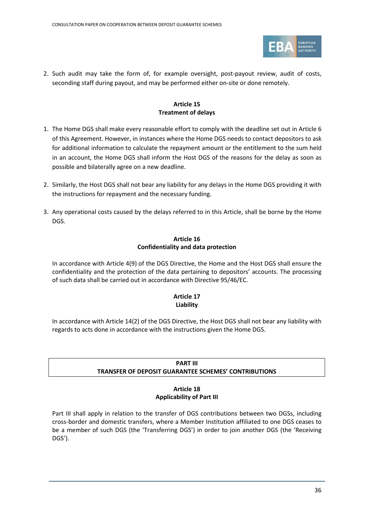

2. Such audit may take the form of, for example oversight, post-payout review, audit of costs, seconding staff during payout, and may be performed either on-site or done remotely.

#### **Article 15 Treatment of delays**

- 1. The Home DGS shall make every reasonable effort to comply with the deadline set out in Article 6 of this Agreement. However, in instances where the Home DGS needs to contact depositors to ask for additional information to calculate the repayment amount or the entitlement to the sum held in an account, the Home DGS shall inform the Host DGS of the reasons for the delay as soon as possible and bilaterally agree on a new deadline.
- 2. Similarly, the Host DGS shall not bear any liability for any delays in the Home DGS providing it with the instructions for repayment and the necessary funding.
- 3. Any operational costs caused by the delays referred to in this Article, shall be borne by the Home DGS.

#### **Article 16 Confidentiality and data protection**

In accordance with Article 4(9) of the DGS Directive, the Home and the Host DGS shall ensure the confidentiality and the protection of the data pertaining to depositors' accounts. The processing of such data shall be carried out in accordance with Directive 95/46/EC.

### **Article 17 Liability**

In accordance with Article 14(2) of the DGS Directive, the Host DGS shall not bear any liability with regards to acts done in accordance with the instructions given the Home DGS.

## **PART III TRANSFER OF DEPOSIT GUARANTEE SCHEMES' CONTRIBUTIONS**

#### **Article 18 Applicability of Part III**

Part III shall apply in relation to the transfer of DGS contributions between two DGSs, including cross-border and domestic transfers, where a Member Institution affiliated to one DGS ceases to be a member of such DGS (the 'Transferring DGS') in order to join another DGS (the 'Receiving DGS').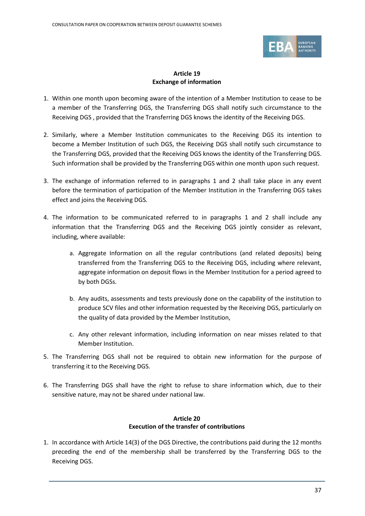

## **Article 19 Exchange of information**

- 1. Within one month upon becoming aware of the intention of a Member Institution to cease to be a member of the Transferring DGS, the Transferring DGS shall notify such circumstance to the Receiving DGS , provided that the Transferring DGS knows the identity of the Receiving DGS.
- 2. Similarly, where a Member Institution communicates to the Receiving DGS its intention to become a Member Institution of such DGS, the Receiving DGS shall notify such circumstance to the Transferring DGS, provided that the Receiving DGS knows the identity of the Transferring DGS. Such information shall be provided by the Transferring DGS within one month upon such request.
- 3. The exchange of information referred to in paragraphs 1 and 2 shall take place in any event before the termination of participation of the Member Institution in the Transferring DGS takes effect and joins the Receiving DGS.
- 4. The information to be communicated referred to in paragraphs 1 and 2 shall include any information that the Transferring DGS and the Receiving DGS jointly consider as relevant, including, where available:
	- a. Aggregate Information on all the regular contributions (and related deposits) being transferred from the Transferring DGS to the Receiving DGS, including where relevant, aggregate information on deposit flows in the Member Institution for a period agreed to by both DGSs.
	- b. Any audits, assessments and tests previously done on the capability of the institution to produce SCV files and other information requested by the Receiving DGS, particularly on the quality of data provided by the Member Institution,
	- c. Any other relevant information, including information on near misses related to that Member Institution.
- 5. The Transferring DGS shall not be required to obtain new information for the purpose of transferring it to the Receiving DGS.
- 6. The Transferring DGS shall have the right to refuse to share information which, due to their sensitive nature, may not be shared under national law.

## **Article 20 Execution of the transfer of contributions**

1. In accordance with Article 14(3) of the DGS Directive, the contributions paid during the 12 months preceding the end of the membership shall be transferred by the Transferring DGS to the Receiving DGS.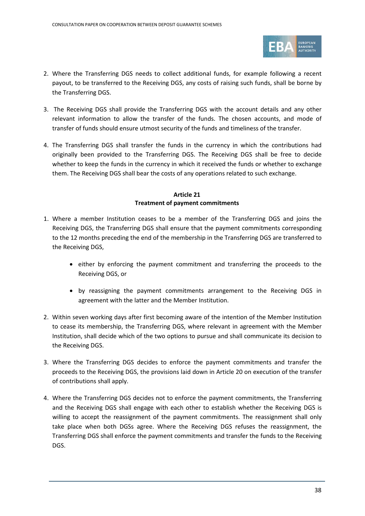

- 2. Where the Transferring DGS needs to collect additional funds, for example following a recent payout, to be transferred to the Receiving DGS, any costs of raising such funds, shall be borne by the Transferring DGS.
- 3. The Receiving DGS shall provide the Transferring DGS with the account details and any other relevant information to allow the transfer of the funds. The chosen accounts, and mode of transfer of funds should ensure utmost security of the funds and timeliness of the transfer.
- 4. The Transferring DGS shall transfer the funds in the currency in which the contributions had originally been provided to the Transferring DGS. The Receiving DGS shall be free to decide whether to keep the funds in the currency in which it received the funds or whether to exchange them. The Receiving DGS shall bear the costs of any operations related to such exchange.

#### **Article 21 Treatment of payment commitments**

- 1. Where a member Institution ceases to be a member of the Transferring DGS and joins the Receiving DGS, the Transferring DGS shall ensure that the payment commitments corresponding to the 12 months preceding the end of the membership in the Transferring DGS are transferred to the Receiving DGS,
	- either by enforcing the payment commitment and transferring the proceeds to the Receiving DGS, or
	- by reassigning the payment commitments arrangement to the Receiving DGS in agreement with the latter and the Member Institution.
- 2. Within seven working days after first becoming aware of the intention of the Member Institution to cease its membership, the Transferring DGS, where relevant in agreement with the Member Institution, shall decide which of the two options to pursue and shall communicate its decision to the Receiving DGS.
- 3. Where the Transferring DGS decides to enforce the payment commitments and transfer the proceeds to the Receiving DGS, the provisions laid down in Article 20 on execution of the transfer of contributions shall apply.
- 4. Where the Transferring DGS decides not to enforce the payment commitments, the Transferring and the Receiving DGS shall engage with each other to establish whether the Receiving DGS is willing to accept the reassignment of the payment commitments. The reassignment shall only take place when both DGSs agree. Where the Receiving DGS refuses the reassignment, the Transferring DGS shall enforce the payment commitments and transfer the funds to the Receiving DGS.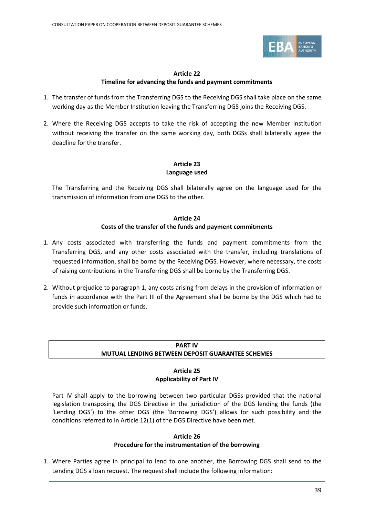

### **Article 22 Timeline for advancing the funds and payment commitments**

- 1. The transfer of funds from the Transferring DGS to the Receiving DGS shall take place on the same working day as the Member Institution leaving the Transferring DGS joins the Receiving DGS.
- 2. Where the Receiving DGS accepts to take the risk of accepting the new Member Institution without receiving the transfer on the same working day, both DGSs shall bilaterally agree the deadline for the transfer.

## **Article 23 Language used**

The Transferring and the Receiving DGS shall bilaterally agree on the language used for the transmission of information from one DGS to the other.

#### **Article 24 Costs of the transfer of the funds and payment commitments**

- 1. Any costs associated with transferring the funds and payment commitments from the Transferring DGS, and any other costs associated with the transfer, including translations of requested information, shall be borne by the Receiving DGS. However, where necessary, the costs of raising contributions in the Transferring DGS shall be borne by the Transferring DGS.
- 2. Without prejudice to paragraph 1, any costs arising from delays in the provision of information or funds in accordance with the Part III of the Agreement shall be borne by the DGS which had to provide such information or funds.

### **PART IV MUTUAL LENDING BETWEEN DEPOSIT GUARANTEE SCHEMES**

#### **Article 25 Applicability of Part IV**

Part IV shall apply to the borrowing between two particular DGSs provided that the national legislation transposing the DGS Directive in the jurisdiction of the DGS lending the funds (the 'Lending DGS') to the other DGS (the 'Borrowing DGS') allows for such possibility and the conditions referred to in Article 12(1) of the DGS Directive have been met.

## **Article 26**

## **Procedure for the instrumentation of the borrowing**

1. Where Parties agree in principal to lend to one another, the Borrowing DGS shall send to the Lending DGS a loan request. The request shall include the following information: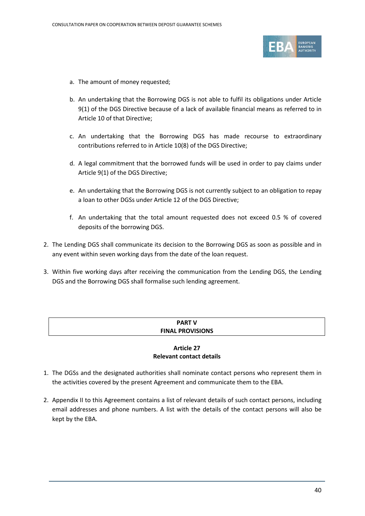

- a. The amount of money requested;
- b. An undertaking that the Borrowing DGS is not able to fulfil its obligations under Article 9(1) of the DGS Directive because of a lack of available financial means as referred to in Article 10 of that Directive;
- c. An undertaking that the Borrowing DGS has made recourse to extraordinary contributions referred to in Article 10(8) of the DGS Directive;
- d. A legal commitment that the borrowed funds will be used in order to pay claims under Article 9(1) of the DGS Directive;
- e. An undertaking that the Borrowing DGS is not currently subject to an obligation to repay a loan to other DGSs under Article 12 of the DGS Directive;
- f. An undertaking that the total amount requested does not exceed 0.5 % of covered deposits of the borrowing DGS.
- 2. The Lending DGS shall communicate its decision to the Borrowing DGS as soon as possible and in any event within seven working days from the date of the loan request.
- 3. Within five working days after receiving the communication from the Lending DGS, the Lending DGS and the Borrowing DGS shall formalise such lending agreement.

## **PART V FINAL PROVISIONS**

#### **Article 27 Relevant contact details**

- 1. The DGSs and the designated authorities shall nominate contact persons who represent them in the activities covered by the present Agreement and communicate them to the EBA.
- 2. Appendix II to this Agreement contains a list of relevant details of such contact persons, including email addresses and phone numbers. A list with the details of the contact persons will also be kept by the EBA.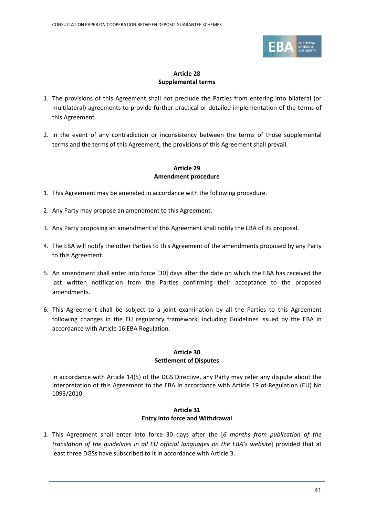

## **Article 28 Supplemental terms**

- 1. The provisions of this Agreement shall not preclude the Parties from entering into bilateral (or multilateral) agreements to provide further practical or detailed implementation of the terms of this Agreement.
- 2. In the event of any contradiction or inconsistency between the terms of those supplemental terms and the terms of this Agreement, the provisions of this Agreement shall prevail.

#### **Article 29 Amendment procedure**

- 1. This Agreement may be amended in accordance with the following procedure.
- 2. Any Party may propose an amendment to this Agreement.
- 3. Any Party proposing an amendment of this Agreement shall notify the EBA of its proposal.
- 4. The EBA will notify the other Parties to this Agreement of the amendments proposed by any Party to this Agreement.
- 5. An amendment shall enter into force [30] days after the date on which the EBA has received the last written notification from the Parties confirming their acceptance to the proposed amendments.
- 6. This Agreement shall be subject to a joint examination by all the Parties to this Agreement following changes in the EU regulatory framework, including Guidelines issued by the EBA in accordance with Article 16 EBA Regulation.

#### **Article 30 Settlement of Disputes**

In accordance with Article 14(5) of the DGS Directive, any Party may refer any dispute about the interpretation of this Agreement to the EBA in accordance with Article 19 of Regulation (EU) No 1093/2010.

#### **Article 31 Entry into force and Withdrawal**

1. This Agreement shall enter into force 30 days after the [*6 months from publication of the translation of the guidelines in all EU official languages on the EBA's website*] provided that at least three DGSs have subscribed to it in accordance with Article 3.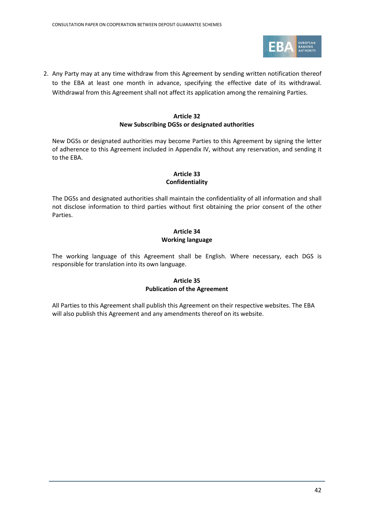

2. Any Party may at any time withdraw from this Agreement by sending written notification thereof to the EBA at least one month in advance, specifying the effective date of its withdrawal. Withdrawal from this Agreement shall not affect its application among the remaining Parties.

#### **Article 32 New Subscribing DGSs or designated authorities**

New DGSs or designated authorities may become Parties to this Agreement by signing the letter of adherence to this Agreement included in Appendix IV, without any reservation, and sending it to the EBA.

#### **Article 33 Confidentiality**

The DGSs and designated authorities shall maintain the confidentiality of all information and shall not disclose information to third parties without first obtaining the prior consent of the other Parties.

### **Article 34 Working language**

The working language of this Agreement shall be English. Where necessary, each DGS is responsible for translation into its own language.

### **Article 35 Publication of the Agreement**

All Parties to this Agreement shall publish this Agreement on their respective websites. The EBA will also publish this Agreement and any amendments thereof on its website.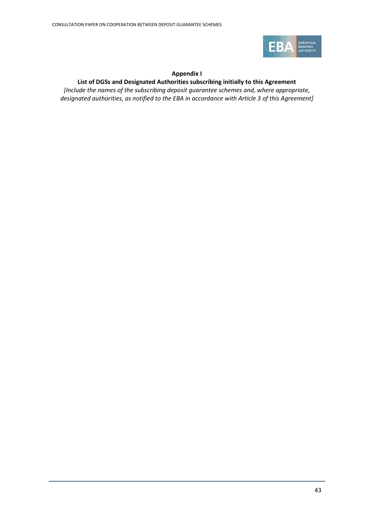

#### **Appendix I**

#### **List of DGSs and Designated Authorities subscribing initially to this Agreement**

*[Include the names of the subscribing deposit guarantee schemes and, where appropriate, designated authorities, as notified to the EBA in accordance with Article 3 of this Agreement]*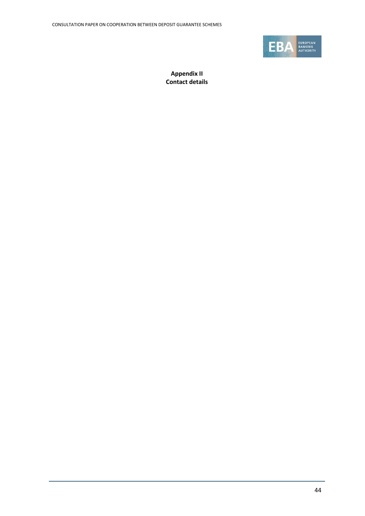

**Appendix II Contact details**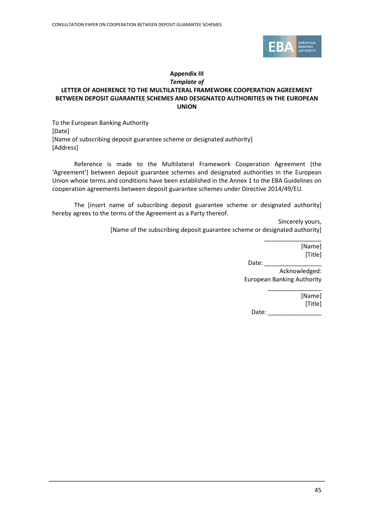

#### **Appendix III** *Template of*

## **LETTER OF ADHERENCE TO THE MULTILATERAL FRAMEWORK COOPERATION AGREEMENT BETWEEN DEPOSIT GUARANTEE SCHEMES AND DESIGNATED AUTHORITIES IN THE EUROPEAN UNION**

To the European Banking Authority [Date] [Name of subscribing deposit guarantee scheme or designated authority] [Address]

Reference is made to the Multilateral Framework Cooperation Agreement (the 'Agreement') between deposit guarantee schemes and designated authorities in the European Union whose terms and conditions have been established in the Annex 1 to the EBA Guidelines on cooperation agreements between deposit guarantee schemes under Directive 2014/49/EU.

The [insert name of subscribing deposit guarantee scheme or designated authority] hereby agrees to the terms of the Agreement as a Party thereof.

> Sincerely yours, [Name of the subscribing deposit guarantee scheme or designated authority]

> > \_\_\_\_\_\_\_\_\_\_\_\_\_\_\_\_\_ [Name] [Title]

Date:  $\_\_$ Acknowledged: European Banking Authority

\_\_\_\_\_\_\_\_\_\_\_\_\_\_\_\_ [Name] [Title] Date: \_\_\_\_\_\_\_\_\_\_\_\_\_\_\_\_

45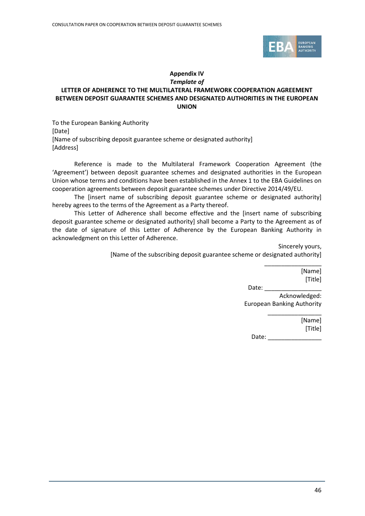

#### **Appendix IV** *Template of*

## **LETTER OF ADHERENCE TO THE MULTILATERAL FRAMEWORK COOPERATION AGREEMENT BETWEEN DEPOSIT GUARANTEE SCHEMES AND DESIGNATED AUTHORITIES IN THE EUROPEAN UNION**

To the European Banking Authority [Date] [Name of subscribing deposit guarantee scheme or designated authority] [Address]

Reference is made to the Multilateral Framework Cooperation Agreement (the 'Agreement') between deposit guarantee schemes and designated authorities in the European Union whose terms and conditions have been established in the Annex 1 to the EBA Guidelines on cooperation agreements between deposit guarantee schemes under Directive 2014/49/EU.

The [insert name of subscribing deposit guarantee scheme or designated authority] hereby agrees to the terms of the Agreement as a Party thereof.

This Letter of Adherence shall become effective and the [insert name of subscribing deposit guarantee scheme or designated authority] shall become a Party to the Agreement as of the date of signature of this Letter of Adherence by the European Banking Authority in acknowledgment on this Letter of Adherence.

> Sincerely yours, [Name of the subscribing deposit guarantee scheme or designated authority]

> > \_\_\_\_\_\_\_\_\_\_\_\_\_\_\_\_\_ [Name] [Title]

Date:

Acknowledged: European Banking Authority

\_\_\_\_\_\_\_\_\_\_\_\_\_\_\_\_

[Name] [Title]

Date:  $\_\_$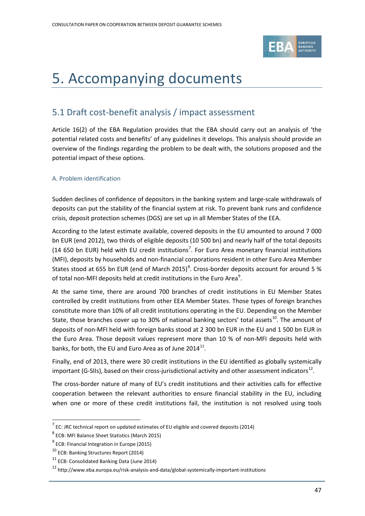

# <span id="page-46-0"></span>5. Accompanying documents

# <span id="page-46-1"></span>5.1 Draft cost-benefit analysis / impact assessment

Article 16(2) of the EBA Regulation provides that the EBA should carry out an analysis of 'the potential related costs and benefits' of any guidelines it develops. This analysis should provide an overview of the findings regarding the problem to be dealt with, the solutions proposed and the potential impact of these options.

## A. Problem identification

Sudden declines of confidence of depositors in the banking system and large-scale withdrawals of deposits can put the stability of the financial system at risk. To prevent bank runs and confidence crisis, deposit protection schemes (DGS) are set up in all Member States of the EEA.

According to the latest estimate available, covered deposits in the EU amounted to around 7 000 bn EUR (end 2012), two thirds of eligible deposits (10 500 bn) and nearly half of the total deposits (14 650 bn EUR) held with EU credit institutions<sup>[7](#page-46-2)</sup>. For Euro Area monetary financial institutions (MFI), deposits by households and non-financial corporations resident in other Euro Area Member States stood at 655 bn EUR (end of March 2015)<sup>[8](#page-46-3)</sup>. Cross-border deposits account for around 5 % of total non-MFI deposits held at credit institutions in the Euro Area $^9$  $^9$ .

At the same time, there are around 700 branches of credit institutions in EU Member States controlled by credit institutions from other EEA Member States. Those types of foreign branches constitute more than 10% of all credit institutions operating in the EU. Depending on the Member State, those branches cover up to 30% of national banking sectors' total assets<sup>10</sup>. The amount of deposits of non-MFI held with foreign banks stood at 2 300 bn EUR in the EU and 1 500 bn EUR in the Euro Area. Those deposit values represent more than 10 % of non-MFI deposits held with banks, for both, the EU and Euro Area as of June  $2014^{11}$  $2014^{11}$  $2014^{11}$ .

Finally, end of 2013, there were 30 credit institutions in the EU identified as globally systemically important (G-SIIs), based on their cross-jurisdictional activity and other assessment indicators<sup>[12](#page-46-7)</sup>.

The cross-border nature of many of EU's credit institutions and their activities calls for effective cooperation between the relevant authorities to ensure financial stability in the EU, including when one or more of these credit institutions fail, the institution is not resolved using tools

 $\overline{a}$ 

<span id="page-46-2"></span> $7$  EC: JRC technical report on updated estimates of EU eligible and covered deposits (2014)

<span id="page-46-3"></span><sup>8</sup> ECB: MFI Balance Sheet Statistics (March 2015)

<span id="page-46-4"></span><sup>&</sup>lt;sup>9</sup> ECB: Financial Integration in Europe (2015)

<span id="page-46-5"></span><sup>10</sup> ECB: Banking Structures Report (2014)

<span id="page-46-6"></span><sup>11</sup> ECB: Consolidated Banking Data (June 2014)

<span id="page-46-7"></span><sup>12</sup> http://www.eba.europa.eu/risk-analysis-and-data/global-systemically-important-institutions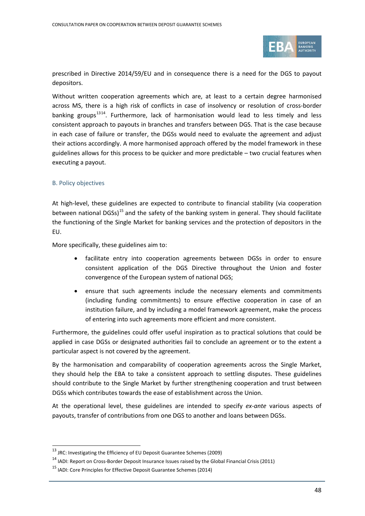

prescribed in Directive 2014/59/EU and in consequence there is a need for the DGS to payout depositors.

Without written cooperation agreements which are, at least to a certain degree harmonised across MS, there is a high risk of conflicts in case of insolvency or resolution of cross-border banking groups<sup>[13](#page-47-0)14</sup>. Furthermore, lack of harmonisation would lead to less timely and less consistent approach to payouts in branches and transfers between DGS. That is the case because in each case of failure or transfer, the DGSs would need to evaluate the agreement and adjust their actions accordingly. A more harmonised approach offered by the model framework in these guidelines allows for this process to be quicker and more predictable – two crucial features when executing a payout.

#### B. Policy objectives

 $\overline{a}$ 

At high-level, these guidelines are expected to contribute to financial stability (via cooperation between national DGSs)<sup>[15](#page-47-2)</sup> and the safety of the banking system in general. They should facilitate the functioning of the Single Market for banking services and the protection of depositors in the EU.

More specifically, these guidelines aim to:

- facilitate entry into cooperation agreements between DGSs in order to ensure consistent application of the DGS Directive throughout the Union and foster convergence of the European system of national DGS;
- ensure that such agreements include the necessary elements and commitments (including funding commitments) to ensure effective cooperation in case of an institution failure, and by including a model framework agreement, make the process of entering into such agreements more efficient and more consistent.

Furthermore, the guidelines could offer useful inspiration as to practical solutions that could be applied in case DGSs or designated authorities fail to conclude an agreement or to the extent a particular aspect is not covered by the agreement.

By the harmonisation and comparability of cooperation agreements across the Single Market, they should help the EBA to take a consistent approach to settling disputes. These guidelines should contribute to the Single Market by further strengthening cooperation and trust between DGSs which contributes towards the ease of establishment across the Union.

At the operational level, these guidelines are intended to specify *ex-ante* various aspects of payouts, transfer of contributions from one DGS to another and loans between DGSs.

<span id="page-47-0"></span><sup>&</sup>lt;sup>13</sup> JRC: Investigating the Efficiency of EU Deposit Guarantee Schemes (2009)

 $14$  IADI: Report on Cross-Border Deposit Insurance Issues raised by the Global Financial Crisis (2011)

<span id="page-47-2"></span><span id="page-47-1"></span><sup>&</sup>lt;sup>15</sup> IADI: Core Principles for Effective Deposit Guarantee Schemes (2014)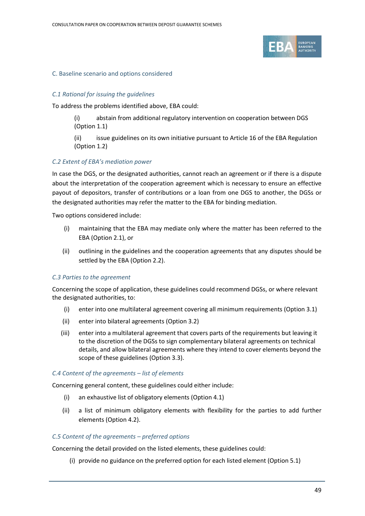

#### C. Baseline scenario and options considered

#### *C.1 Rational for issuing the guidelines*

To address the problems identified above, EBA could:

(i) abstain from additional regulatory intervention on cooperation between DGS (Option 1.1)

(ii) issue guidelines on its own initiative pursuant to Article 16 of the EBA Regulation (Option 1.2)

#### *C.2 Extent of EBA's mediation power*

In case the DGS, or the designated authorities, cannot reach an agreement or if there is a dispute about the interpretation of the cooperation agreement which is necessary to ensure an effective payout of depositors, transfer of contributions or a loan from one DGS to another, the DGSs or the designated authorities may refer the matter to the EBA for binding mediation.

Two options considered include:

- (i) maintaining that the EBA may mediate only where the matter has been referred to the EBA (Option 2.1), or
- (ii) outlining in the guidelines and the cooperation agreements that any disputes should be settled by the EBA (Option 2.2).

#### *C.3 Parties to the agreement*

Concerning the scope of application, these guidelines could recommend DGSs, or where relevant the designated authorities, to:

- (i) enter into one multilateral agreement covering all minimum requirements (Option 3.1)
- (ii) enter into bilateral agreements (Option 3.2)
- (iii) enter into a multilateral agreement that covers parts of the requirements but leaving it to the discretion of the DGSs to sign complementary bilateral agreements on technical details, and allow bilateral agreements where they intend to cover elements beyond the scope of these guidelines (Option 3.3).

#### *C.4 Content of the agreements – list of elements*

Concerning general content, these guidelines could either include:

- (i) an exhaustive list of obligatory elements (Option 4.1)
- (ii) a list of minimum obligatory elements with flexibility for the parties to add further elements (Option 4.2).

#### *C.5 Content of the agreements – preferred options*

Concerning the detail provided on the listed elements, these guidelines could:

(i) provide no guidance on the preferred option for each listed element (Option 5.1)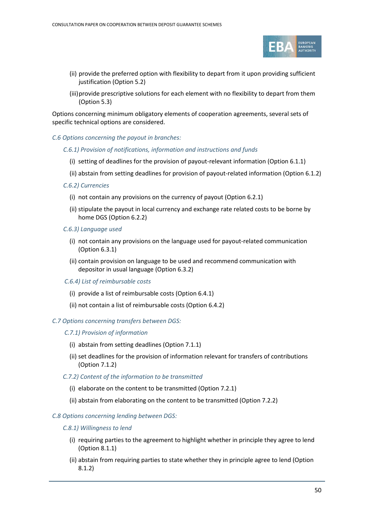

- (ii) provide the preferred option with flexibility to depart from it upon providing sufficient justification (Option 5.2)
- (iii)provide prescriptive solutions for each element with no flexibility to depart from them (Option 5.3)

Options concerning minimum obligatory elements of cooperation agreements, several sets of specific technical options are considered.

#### *C.6 Options concerning the payout in branches:*

#### *C.6.1) Provision of notifications, information and instructions and funds*

- (i) setting of deadlines for the provision of payout-relevant information (Option 6.1.1)
- (ii) abstain from setting deadlines for provision of payout-related information (Option 6.1.2)

#### *C.6.2) Currencies*

- (i) not contain any provisions on the currency of payout (Option 6.2.1)
- (ii) stipulate the payout in local currency and exchange rate related costs to be borne by home DGS (Option 6.2.2)
- *C.6.3) Language used*
	- (i) not contain any provisions on the language used for payout-related communication (Option 6.3.1)
	- (ii) contain provision on language to be used and recommend communication with depositor in usual language (Option 6.3.2)
- *C.6.4) List of reimbursable costs*
	- (i) provide a list of reimbursable costs (Option 6.4.1)
	- (ii) not contain a list of reimbursable costs (Option 6.4.2)

#### *C.7 Options concerning transfers between DGS:*

- *C.7.1) Provision of information*
	- (i) abstain from setting deadlines (Option 7.1.1)
	- (ii) set deadlines for the provision of information relevant for transfers of contributions (Option 7.1.2)
- *C.7.2) Content of the information to be transmitted*
	- (i) elaborate on the content to be transmitted (Option 7.2.1)
	- (ii) abstain from elaborating on the content to be transmitted (Option 7.2.2)

#### *C.8 Options concerning lending between DGS:*

#### *C.8.1) Willingness to lend*

- (i) requiring parties to the agreement to highlight whether in principle they agree to lend (Option 8.1.1)
- (ii) abstain from requiring parties to state whether they in principle agree to lend (Option 8.1.2)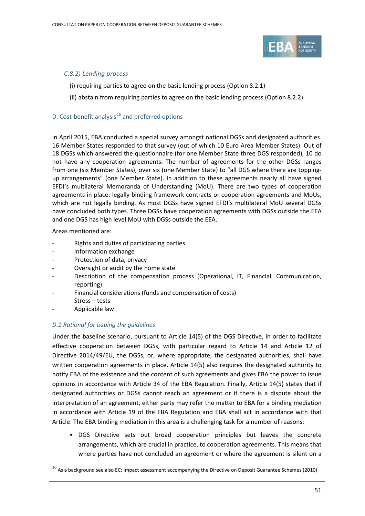

#### *C.8.2) Lending process*

- (i) requiring parties to agree on the basic lending process (Option 8.2.1)
- (ii) abstain from requiring parties to agree on the basic lending process (Option 8.2.2)

#### D. Cost-benefit analysis $^{16}$  $^{16}$  $^{16}$  and preferred options

In April 2015, EBA conducted a special survey amongst national DGSs and designated authorities. 16 Member States responded to that survey (out of which 10 Euro Area Member States). Out of 18 DGSs which answered the questionnaire (for one Member State three DGS responded), 10 do not have any cooperation agreements. The number of agreements for the other DGSs ranges from one (six Member States), over six (one Member State) to "all DGS where there are toppingup arrangements" (one Member State). In addition to these agreements nearly all have signed EFDI's multilateral Memoranda of Understanding (MoU). There are two types of cooperation agreements in place: legally binding framework contracts or cooperation agreements and MoUs, which are not legally binding. As most DGSs have signed EFDI's multilateral MoU several DGSs have concluded both types. Three DGSs have cooperation agreements with DGSs outside the EEA and one DGS has high level MoU with DGSs outside the EEA.

Areas mentioned are:

- Rights and duties of participating parties
- Information exchange
- Protection of data, privacy
- Oversight or audit by the home state
- Description of the compensation process (Operational, IT, Financial, Communication, reporting)
- Financial considerations (funds and compensation of costs)
- Stress tests
- Applicable law

 $\overline{a}$ 

#### *D.1 Rational for issuing the guidelines*

Under the baseline scenario, pursuant to Article 14(5) of the DGS Directive, in order to facilitate effective cooperation between DGSs, with particular regard to Article 14 and Article 12 of Directive 2014/49/EU, the DGSs, or, where appropriate, the designated authorities, shall have written cooperation agreements in place. Article 14(5) also requires the designated authority to notify EBA of the existence and the content of such agreements and gives EBA the power to issue opinions in accordance with Article 34 of the EBA Regulation. Finally, Article 14(5) states that if designated authorities or DGSs cannot reach an agreement or if there is a dispute about the interpretation of an agreement, either party may refer the matter to EBA for a binding mediation in accordance with Article 19 of the EBA Regulation and EBA shall act in accordance with that Article. The EBA binding mediation in this area is a challenging task for a number of reasons:

• DGS Directive sets out broad cooperation principles but leaves the concrete arrangements, which are crucial in practice, to cooperation agreements. This means that where parties have not concluded an agreement or where the agreement is silent on a

<span id="page-50-0"></span><sup>&</sup>lt;sup>16</sup> As a background see also EC: Impact assessment accompanying the Directive on Deposit Guarantee Schemes (2010)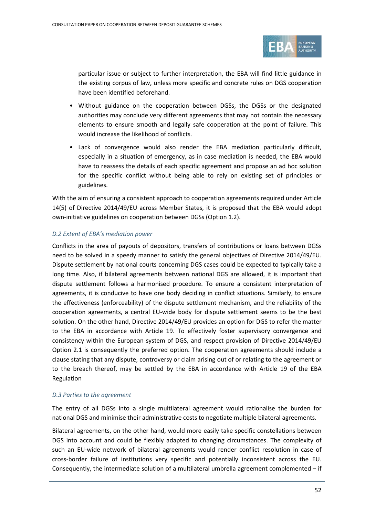

particular issue or subject to further interpretation, the EBA will find little guidance in the existing corpus of law, unless more specific and concrete rules on DGS cooperation have been identified beforehand.

- Without guidance on the cooperation between DGSs, the DGSs or the designated authorities may conclude very different agreements that may not contain the necessary elements to ensure smooth and legally safe cooperation at the point of failure. This would increase the likelihood of conflicts.
- Lack of convergence would also render the EBA mediation particularly difficult, especially in a situation of emergency, as in case mediation is needed, the EBA would have to reassess the details of each specific agreement and propose an ad hoc solution for the specific conflict without being able to rely on existing set of principles or guidelines.

With the aim of ensuring a consistent approach to cooperation agreements required under Article 14(5) of Directive 2014/49/EU across Member States, it is proposed that the EBA would adopt own-initiative guidelines on cooperation between DGSs (Option 1.2).

#### *D.2 Extent of EBA's mediation power*

Conflicts in the area of payouts of depositors, transfers of contributions or loans between DGSs need to be solved in a speedy manner to satisfy the general objectives of Directive 2014/49/EU. Dispute settlement by national courts concerning DGS cases could be expected to typically take a long time. Also, if bilateral agreements between national DGS are allowed, it is important that dispute settlement follows a harmonised procedure. To ensure a consistent interpretation of agreements, it is conducive to have one body deciding in conflict situations. Similarly, to ensure the effectiveness (enforceability) of the dispute settlement mechanism, and the reliability of the cooperation agreements, a central EU-wide body for dispute settlement seems to be the best solution. On the other hand, Directive 2014/49/EU provides an option for DGS to refer the matter to the EBA in accordance with Article 19. To effectively foster supervisory convergence and consistency within the European system of DGS, and respect provision of Directive 2014/49/EU Option 2.1 is consequently the preferred option. The cooperation agreements should include a clause stating that any dispute, controversy or claim arising out of or relating to the agreement or to the breach thereof, may be settled by the EBA in accordance with Article 19 of the EBA Regulation

#### *D.3 Parties to the agreement*

The entry of all DGSs into a single multilateral agreement would rationalise the burden for national DGS and minimise their administrative costs to negotiate multiple bilateral agreements.

Bilateral agreements, on the other hand, would more easily take specific constellations between DGS into account and could be flexibly adapted to changing circumstances. The complexity of such an EU-wide network of bilateral agreements would render conflict resolution in case of cross-border failure of institutions very specific and potentially inconsistent across the EU. Consequently, the intermediate solution of a multilateral umbrella agreement complemented – if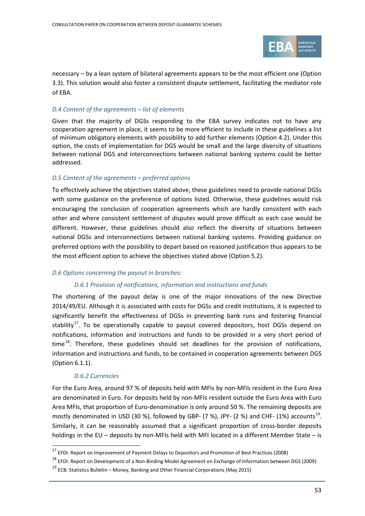

necessary – by a lean system of bilateral agreements appears to be the most efficient one (Option 3.3). This solution would also foster a consistent dispute settlement, facilitating the mediator role of EBA.

#### *D.4 Content of the agreements – list of elements*

Given that the majority of DGSs responding to the EBA survey indicates not to have any cooperation agreement in place, it seems to be more efficient to include in these guidelines a list of minimum obligatory elements with possibility to add further elements (Option 4.2). Under this option, the costs of implementation for DGS would be small and the large diversity of situations between national DGS and interconnections between national banking systems could be better addressed.

#### *D.5 Content of the agreements – preferred options*

To effectively achieve the objectives stated above, these guidelines need to provide national DGSs with some guidance on the preference of options listed. Otherwise, these guidelines would risk encouraging the conclusion of cooperation agreements which are hardly consistent with each other and where consistent settlement of disputes would prove difficult as each case would be different. However, these guidelines should also reflect the diversity of situations between national DGSs and interconnections between national banking systems. Providing guidance on preferred options with the possibility to depart based on reasoned justification thus appears to be the most efficient option to achieve the objectives stated above (Option 5.2).

#### *D.6 Options concerning the payout in branches:*

#### *D.6.1 Provision of notifications, information and instructions and funds*

The shortening of the payout delay is one of the major innovations of the new Directive 2014/49/EU. Although it is associated with costs for DGSs and credit institutions, it is expected to significantly benefit the effectiveness of DGSs in preventing bank runs and fostering financial stability<sup>17</sup>. To be operationally capable to payout covered depositors, host DGSs depend on notifications, information and instructions and funds to be provided in a very short period of time<sup>[18](#page-52-1)</sup>. Therefore, these guidelines should set deadlines for the provision of notifications, information and instructions and funds, to be contained in cooperation agreements between DGS (Option 6.1.1).

#### *D.6.2 Currencies*

 $\overline{a}$ 

For the Euro Area, around 97 % of deposits held with MFIs by non-MFIs resident in the Euro Area are denominated in Euro. For deposits held by non-MFIs resident outside the Euro Area with Euro Area MFIs, that proportion of Euro-denomination is only around 50 %. The remaining deposits are mostly denominated in USD (30 %), followed by GBP- (7 %), JPY- (2 %) and CHF- (1%) accounts<sup>[19](#page-52-2)</sup>. Similarly, it can be reasonably assumed that a significant proportion of cross-border deposits holdings in the EU – deposits by non-MFIs held with MFI located in a different Member State – is

<span id="page-52-0"></span><sup>&</sup>lt;sup>17</sup> EFDI: Report on Improvement of Payment Delays to Depositors and Promotion of Best Practices (2008)

<span id="page-52-1"></span><sup>18</sup> EFDI: Report on Development of a Non-Binding Model Agreement on Exchange of Information between DGS (2009)

<span id="page-52-2"></span> $19$  ECB: Statistics Bulletin – Money, Banking and Other Financial Corporations (May 2015)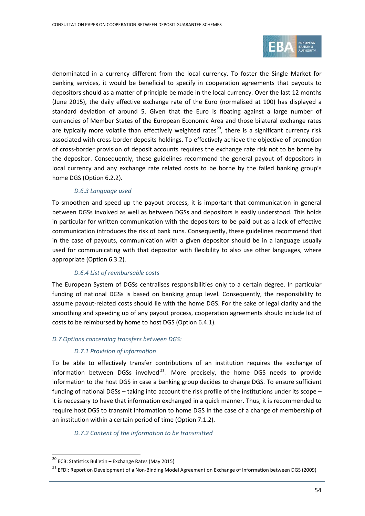

denominated in a currency different from the local currency. To foster the Single Market for banking services, it would be beneficial to specify in cooperation agreements that payouts to depositors should as a matter of principle be made in the local currency. Over the last 12 months (June 2015), the daily effective exchange rate of the Euro (normalised at 100) has displayed a standard deviation of around 5. Given that the Euro is floating against a large number of currencies of Member States of the European Economic Area and those bilateral exchange rates are typically more volatile than effectively weighted rates<sup>[20](#page-53-0)</sup>, there is a significant currency risk associated with cross-border deposits holdings. To effectively achieve the objective of promotion of cross-border provision of deposit accounts requires the exchange rate risk not to be borne by the depositor. Consequently, these guidelines recommend the general payout of depositors in local currency and any exchange rate related costs to be borne by the failed banking group's home DGS (Option 6.2.2).

#### *D.6.3 Language used*

To smoothen and speed up the payout process, it is important that communication in general between DGSs involved as well as between DGSs and depositors is easily understood. This holds in particular for written communication with the depositors to be paid out as a lack of effective communication introduces the risk of bank runs. Consequently, these guidelines recommend that in the case of payouts, communication with a given depositor should be in a language usually used for communicating with that depositor with flexibility to also use other languages, where appropriate (Option 6.3.2).

#### *D.6.4 List of reimbursable costs*

The European System of DGSs centralises responsibilities only to a certain degree. In particular funding of national DGSs is based on banking group level. Consequently, the responsibility to assume payout-related costs should lie with the home DGS. For the sake of legal clarity and the smoothing and speeding up of any payout process, cooperation agreements should include list of costs to be reimbursed by home to host DGS (Option 6.4.1).

#### *D.7 Options concerning transfers between DGS:*

#### *D.7.1 Provision of information*

To be able to effectively transfer contributions of an institution requires the exchange of information between DGSs involved $^{21}$  $^{21}$  $^{21}$ . More precisely, the home DGS needs to provide information to the host DGS in case a banking group decides to change DGS. To ensure sufficient funding of national DGSs – taking into account the risk profile of the institutions under its scope – it is necessary to have that information exchanged in a quick manner. Thus, it is recommended to require host DGS to transmit information to home DGS in the case of a change of membership of an institution within a certain period of time (Option 7.1.2).

#### *D.7.2 Content of the information to be transmitted*

 $\overline{a}$ 

<span id="page-53-0"></span><sup>20</sup> ECB: Statistics Bulletin – Exchange Rates (May 2015)

<span id="page-53-1"></span><sup>&</sup>lt;sup>21</sup> EFDI: Report on Development of a Non-Binding Model Agreement on Exchange of Information between DGS (2009)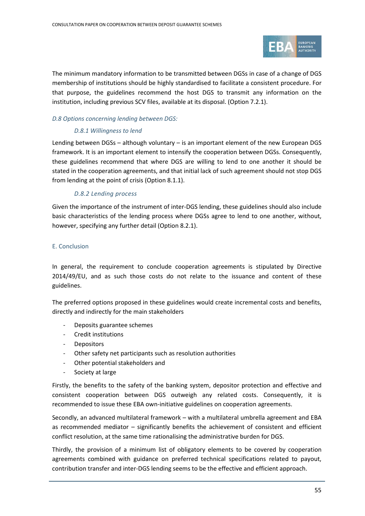

The minimum mandatory information to be transmitted between DGSs in case of a change of DGS membership of institutions should be highly standardised to facilitate a consistent procedure. For that purpose, the guidelines recommend the host DGS to transmit any information on the institution, including previous SCV files, available at its disposal. (Option 7.2.1).

#### *D.8 Options concerning lending between DGS:*

#### *D.8.1 Willingness to lend*

Lending between DGSs – although voluntary – is an important element of the new European DGS framework. It is an important element to intensify the cooperation between DGSs. Consequently, these guidelines recommend that where DGS are willing to lend to one another it should be stated in the cooperation agreements, and that initial lack of such agreement should not stop DGS from lending at the point of crisis (Option 8.1.1).

#### *D.8.2 Lending process*

Given the importance of the instrument of inter-DGS lending, these guidelines should also include basic characteristics of the lending process where DGSs agree to lend to one another, without, however, specifying any further detail (Option 8.2.1).

#### E. Conclusion

In general, the requirement to conclude cooperation agreements is stipulated by Directive 2014/49/EU, and as such those costs do not relate to the issuance and content of these guidelines.

The preferred options proposed in these guidelines would create incremental costs and benefits, directly and indirectly for the main stakeholders

- Deposits guarantee schemes
- Credit institutions
- Depositors
- Other safety net participants such as resolution authorities
- Other potential stakeholders and
- Society at large

Firstly, the benefits to the safety of the banking system, depositor protection and effective and consistent cooperation between DGS outweigh any related costs. Consequently, it is recommended to issue these EBA own-initiative guidelines on cooperation agreements.

Secondly, an advanced multilateral framework – with a multilateral umbrella agreement and EBA as recommended mediator – significantly benefits the achievement of consistent and efficient conflict resolution, at the same time rationalising the administrative burden for DGS.

Thirdly, the provision of a minimum list of obligatory elements to be covered by cooperation agreements combined with guidance on preferred technical specifications related to payout, contribution transfer and inter-DGS lending seems to be the effective and efficient approach.